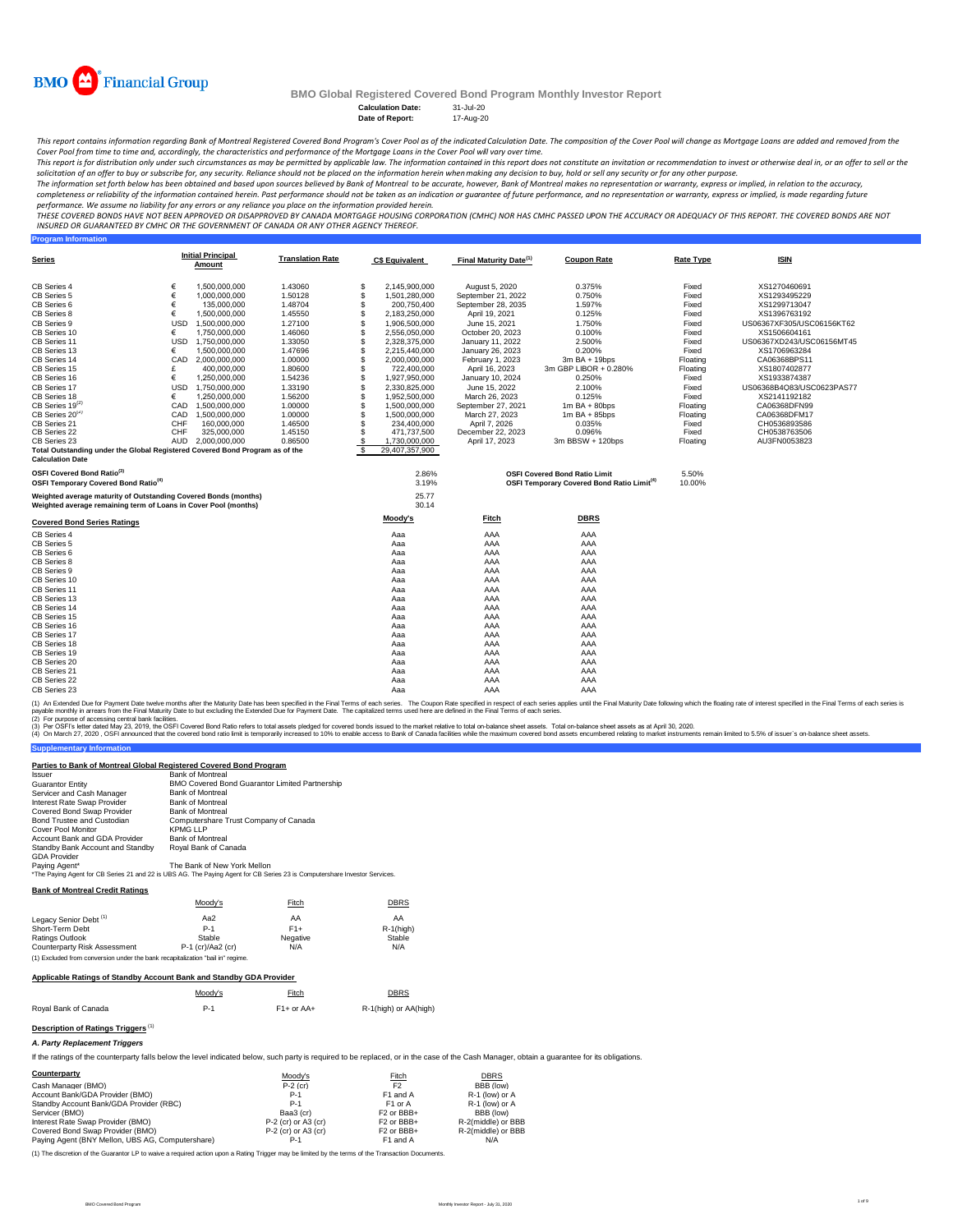

**Program Information**

## **BMO Global Registered Covered Bond Program Monthly Investor Report**

Calculation Date: 31-Jul-20<br>Date of Report: 17-Aug-20 **Date of Report:** 

This report contains information regarding Bank of Montreal Registered Covered Bond Program's Cover Pool as of the indicated Calculation Date. The composition of the Cover Pool will change as Mortgage Loans are added and r *Cover Pool from time to time and, accordingly, the characteristics and performance of the Mortgage Loans in the Cover Pool will vary over time.*

This report is for distribution only under such circumstances as may be permitted by applicable law. The information contained in this report does not constitute an invitation or recommendation to invest or otherwise deal

The information set forth below has been obtained and based upon sources believed by Bank of Montreal co be accurate, however, Bank of Montreal makes no representation or warranty, express or implied, in relation to the ac

performance. We assume no liability for any errors or any reliance you place on the information provided herein.<br>THESE COVERED BONDS HAVE NOT BEEN APPROVED BO DISAPPROVED BY CANADA MORTGAGE HOUSING CORPORATION (CMHC) NOR H *INSURED OR GUARANTEED BY CMHC OR THE GOVERNMENT OF CANADA OR ANY OTHER AGENCY THEREOF.*

| <u>Series</u>                                                                |            | <b>Initial Principal</b><br>Amount | <b>Translation Rate</b> |    | <b>C\$ Equivalent</b> | Final Maturity Date <sup>(1)</sup> | <b>Coupon Rate</b>                                     | <b>Rate Type</b> | <b>ISIN</b>               |
|------------------------------------------------------------------------------|------------|------------------------------------|-------------------------|----|-----------------------|------------------------------------|--------------------------------------------------------|------------------|---------------------------|
| CB Series 4                                                                  | €          | 1.500.000.000                      | 1.43060                 | S  | 2,145,900,000         | August 5, 2020                     | 0.375%                                                 | Fixed            | XS1270460691              |
| CB Series 5                                                                  | €          | 1,000,000,000                      | 1.50128                 | \$ | 1,501,280,000         | September 21, 2022                 | 0.750%                                                 | Fixed            | XS1293495229              |
| CB Series 6                                                                  | €          | 135,000,000                        | 1.48704                 | \$ | 200,750,400           | September 28, 2035                 | 1.597%                                                 | Fixed            | XS1299713047              |
| CB Series 8                                                                  | €          | 1.500.000.000                      | 1.45550                 | \$ | 2,183,250,000         | April 19, 2021                     | 0.125%                                                 | Fixed            | XS1396763192              |
| CB Series 9                                                                  | <b>USD</b> | 1.500.000.000                      | 1.27100                 | \$ | 1,906,500,000         | June 15, 2021                      | 1.750%                                                 | Fixed            | US06367XF305/USC06156KT62 |
| CB Series 10                                                                 | €          | 1.750.000.000                      | 1.46060                 | S  | 2.556.050.000         | October 20, 2023                   | 0.100%                                                 | Fixed            | XS1506604161              |
| CB Series 11                                                                 | <b>USD</b> | 1,750,000,000                      | 1.33050                 |    | 2,328,375,000         | January 11, 2022                   | 2.500%                                                 | Fixed            | US06367XD243/USC06156MT45 |
| CB Series 13                                                                 | €          | 1,500,000,000                      | 1.47696                 | \$ | 2,215,440,000         | January 26, 2023                   | 0.200%                                                 | Fixed            | XS1706963284              |
| CB Series 14                                                                 | CAD        | 2.000.000.000                      | 1.00000                 | \$ | 2.000.000.000         | February 1, 2023                   | 3m BA + 19bps                                          | Floating         | CA06368BPS11              |
| CB Series 15                                                                 | £          | 400,000,000                        | 1.80600                 | \$ | 722,400,000           | April 16, 2023                     | 3m GBP LIBOR + 0.280%                                  | Floating         | XS1807402877              |
| CB Series 16                                                                 | €          | 1,250,000,000                      | 1.54236                 | \$ | 1,927,950,000         | January 10, 2024                   | 0.250%                                                 | Fixed            | XS1933874387              |
| CB Series 17                                                                 |            | USD 1,750,000,000                  | 1.33190                 | S  | 2,330,825,000         | June 15, 2022                      | 2.100%                                                 | Fixed            | US06368B4Q83/USC0623PAS77 |
| CB Series 18                                                                 | €          | 1.250.000.000                      | 1.56200                 | \$ | 1,952,500,000         | March 26, 2023                     | 0.125%                                                 | Fixed            | XS2141192182              |
| $CB$ Series 19 $^{(2)}$                                                      | CAD        | 1.500.000.000                      | 1.00000                 | S  | 1,500,000,000         | September 27, 2021                 | $1m$ BA + 80bps                                        | Floating         | CA06368DFN99              |
| $CB$ Series 20 <sup>(2)</sup>                                                | CAD        | 1.500.000.000                      | 1.00000                 | \$ | 1.500.000.000         | March 27, 2023                     | $1m$ BA + 85bps                                        | Floating         | CA06368DFM17              |
| CB Series 21                                                                 | CHF        | 160,000,000                        | 1.46500                 | \$ | 234,400,000           | April 7, 2026                      | 0.035%                                                 | Fixed            | CH0536893586              |
| CB Series 22                                                                 | <b>CHF</b> | 325,000,000                        | 1.45150                 | S  | 471,737,500           | December 22, 2023                  | 0.096%                                                 | Fixed            | CH0538763506              |
| CB Series 23                                                                 |            | AUD 2.000.000.000                  | 0.86500                 | \$ | 1,730,000,000         | April 17, 2023                     | 3m BBSW + 120bps                                       | Floating         | AU3FN0053823              |
| Total Outstanding under the Global Registered Covered Bond Program as of the |            |                                    |                         |    | 29,407,357,900        |                                    |                                                        |                  |                           |
| <b>Calculation Date</b>                                                      |            |                                    |                         |    |                       |                                    |                                                        |                  |                           |
| OSFI Covered Bond Ratio <sup>(3)</sup>                                       |            |                                    |                         |    | 2.86%                 |                                    | <b>OSFI Covered Bond Ratio Limit</b>                   | 5.50%            |                           |
| OSFI Temporary Covered Bond Ratio <sup>(4)</sup>                             |            |                                    |                         |    | 3.19%                 |                                    | OSFI Temporary Covered Bond Ratio Limit <sup>(4)</sup> | 10.00%           |                           |
| Weighted average maturity of Outstanding Covered Bonds (months)              |            |                                    |                         |    | 25.77                 |                                    |                                                        |                  |                           |
| Weighted average remaining term of Loans in Cover Pool (months)              |            |                                    |                         |    | 30.14                 |                                    |                                                        |                  |                           |
| <b>Covered Bond Series Ratings</b>                                           |            |                                    |                         |    | Moodv's               | Fitch                              | <b>DBRS</b>                                            |                  |                           |
| CB Series 4                                                                  |            |                                    |                         |    | Aaa                   | AAA                                | AAA                                                    |                  |                           |
| CB Series 5                                                                  |            |                                    |                         |    | Aaa                   | AAA                                | AAA                                                    |                  |                           |
| CB Series 6                                                                  |            |                                    |                         |    | Aaa                   | AAA                                | AAA                                                    |                  |                           |
| CB Series 8                                                                  |            |                                    |                         |    | Aaa                   | AAA                                | AAA                                                    |                  |                           |
| CB Series 9                                                                  |            |                                    |                         |    | Aaa                   | AAA                                | AAA                                                    |                  |                           |
| CB Series 10                                                                 |            |                                    |                         |    | Aaa                   | AAA                                | AAA                                                    |                  |                           |
| CB Series 11                                                                 |            |                                    |                         |    | Aaa                   | AAA                                | AAA                                                    |                  |                           |
| CB Series 13                                                                 |            |                                    |                         |    | Aaa                   | AAA                                | AAA                                                    |                  |                           |
| CB Series 14                                                                 |            |                                    |                         |    | Aaa                   | AAA                                | AAA                                                    |                  |                           |
| CB Series 15                                                                 |            |                                    |                         |    | Aaa                   | AAA                                | AAA                                                    |                  |                           |
| CB Series 16                                                                 |            |                                    |                         |    | Aaa                   | AAA                                | AAA                                                    |                  |                           |
| CB Series 17                                                                 |            |                                    |                         |    | Aaa                   | AAA                                | AAA                                                    |                  |                           |
| CB Series 18                                                                 |            |                                    |                         |    | Aaa                   | AAA                                | AAA                                                    |                  |                           |
| CB Series 19                                                                 |            |                                    |                         |    | Aaa                   | AAA                                | AAA                                                    |                  |                           |
| CB Series 20                                                                 |            |                                    |                         |    | Aaa                   | AAA                                | AAA                                                    |                  |                           |
| CB Series 21                                                                 |            |                                    |                         |    | Aaa                   | AAA                                | AAA                                                    |                  |                           |
| CB Series 22                                                                 |            |                                    |                         |    | Aaa                   | AAA                                | AAA                                                    |                  |                           |
| CB Series 23                                                                 |            |                                    |                         |    | Aaa                   | AAA                                | AAA                                                    |                  |                           |

(1) An Extended Due for Payment Date twelve months after the Maturity Date has been specified in the Final of each series. The Coupon Rate specified in the Final Tems of each series is<br>payable monthy in arrears from the Fi

(2) For purpose of accessing central bank facilities.

**Supplementary I** (3) Per OSFIs etter atted May 23, 2019, the OSFI Covered bond ratio refers to total assets pledged for covered bond issued to the market relative to tala moses to bank of Canada facilities while the maximum covered bond as

| Parties to Bank of Montreal Global Registered Covered Bond Program                                                         |                                                |              |                       |                                                                                                                                                                                             |
|----------------------------------------------------------------------------------------------------------------------------|------------------------------------------------|--------------|-----------------------|---------------------------------------------------------------------------------------------------------------------------------------------------------------------------------------------|
| <b>Issuer</b>                                                                                                              | <b>Bank of Montreal</b>                        |              |                       |                                                                                                                                                                                             |
| <b>Guarantor Entity</b>                                                                                                    | BMO Covered Bond Guarantor Limited Partnership |              |                       |                                                                                                                                                                                             |
| Servicer and Cash Manager                                                                                                  | <b>Bank of Montreal</b>                        |              |                       |                                                                                                                                                                                             |
| Interest Rate Swap Provider                                                                                                | <b>Bank of Montreal</b>                        |              |                       |                                                                                                                                                                                             |
| Covered Bond Swap Provider                                                                                                 | <b>Bank of Montreal</b>                        |              |                       |                                                                                                                                                                                             |
| Bond Trustee and Custodian                                                                                                 | Computershare Trust Company of Canada          |              |                       |                                                                                                                                                                                             |
| Cover Pool Monitor                                                                                                         | <b>KPMG LLP</b>                                |              |                       |                                                                                                                                                                                             |
| Account Bank and GDA Provider                                                                                              | <b>Bank of Montreal</b>                        |              |                       |                                                                                                                                                                                             |
| Standby Bank Account and Standby<br><b>GDA Provider</b>                                                                    | Royal Bank of Canada                           |              |                       |                                                                                                                                                                                             |
| Paying Agent*                                                                                                              | The Bank of New York Mellon                    |              |                       |                                                                                                                                                                                             |
| *The Paying Agent for CB Series 21 and 22 is UBS AG. The Paying Agent for CB Series 23 is Computershare Investor Services. |                                                |              |                       |                                                                                                                                                                                             |
| <b>Bank of Montreal Credit Ratings</b>                                                                                     |                                                |              |                       |                                                                                                                                                                                             |
|                                                                                                                            | Moody's                                        | Fitch        | <b>DBRS</b>           |                                                                                                                                                                                             |
| Legacy Senior Debt <sup>(1)</sup>                                                                                          | Aa2                                            | AA           | AA                    |                                                                                                                                                                                             |
| Short-Term Debt                                                                                                            | $P-1$                                          | $F1+$        | $R-1$ (high)          |                                                                                                                                                                                             |
| Ratings Outlook                                                                                                            | Stable                                         | Negative     | Stable                |                                                                                                                                                                                             |
| Counterparty Risk Assessment                                                                                               | P-1 (cr)/Aa2 (cr)                              | N/A          | N/A                   |                                                                                                                                                                                             |
| (1) Excluded from conversion under the bank recapitalization "bail in" regime.                                             |                                                |              |                       |                                                                                                                                                                                             |
| Applicable Ratings of Standby Account Bank and Standby GDA Provider                                                        |                                                |              |                       |                                                                                                                                                                                             |
|                                                                                                                            | Moody's                                        | Fitch        | <b>DBRS</b>           |                                                                                                                                                                                             |
| Roval Bank of Canada                                                                                                       | $P-1$                                          | $F1+$ or AA+ | R-1(high) or AA(high) |                                                                                                                                                                                             |
| Description of Ratings Triggers <sup>(1)</sup>                                                                             |                                                |              |                       |                                                                                                                                                                                             |
| A. Party Replacement Triggers                                                                                              |                                                |              |                       |                                                                                                                                                                                             |
|                                                                                                                            |                                                |              |                       | If the ratings of the counterparty falls below the level indicated below, such party is required to be replaced, or in the case of the Cash Manager, obtain a quarantee for its obligations |
|                                                                                                                            |                                                |              |                       |                                                                                                                                                                                             |

| Counterparty                                     | Moody's               | Fitch                              | <b>DBRS</b>        |
|--------------------------------------------------|-----------------------|------------------------------------|--------------------|
| Cash Manager (BMO)                               | $P-2$ (cr)            | F <sub>2</sub>                     | BBB (low)          |
| Account Bank/GDA Provider (BMO)                  | $P-1$                 | F1 and A                           | R-1 (low) or A     |
| Standby Account Bank/GDA Provider (RBC)          | $P-1$                 | F <sub>1</sub> or A                | R-1 (low) or A     |
| Servicer (BMO)                                   | Baa3 (cr)             | F <sub>2</sub> or BB <sub>B+</sub> | BBB (low)          |
| Interest Rate Swap Provider (BMO)                | $P-2$ (cr) or A3 (cr) | F <sub>2</sub> or BB <sub>B+</sub> | R-2(middle) or BBB |
| Covered Bond Swap Provider (BMO)                 | $P-2$ (cr) or A3 (cr) | F <sub>2</sub> or BB <sub>B+</sub> | R-2(middle) or BBB |
| Paving Agent (BNY Mellon, UBS AG, Computershare) | $P-1$                 | F1 and A                           | N/A                |

(1) The discretion of the Guarantor LP to waive a required action upon a Rating Trigger may be limited by the terms of the Transaction Docum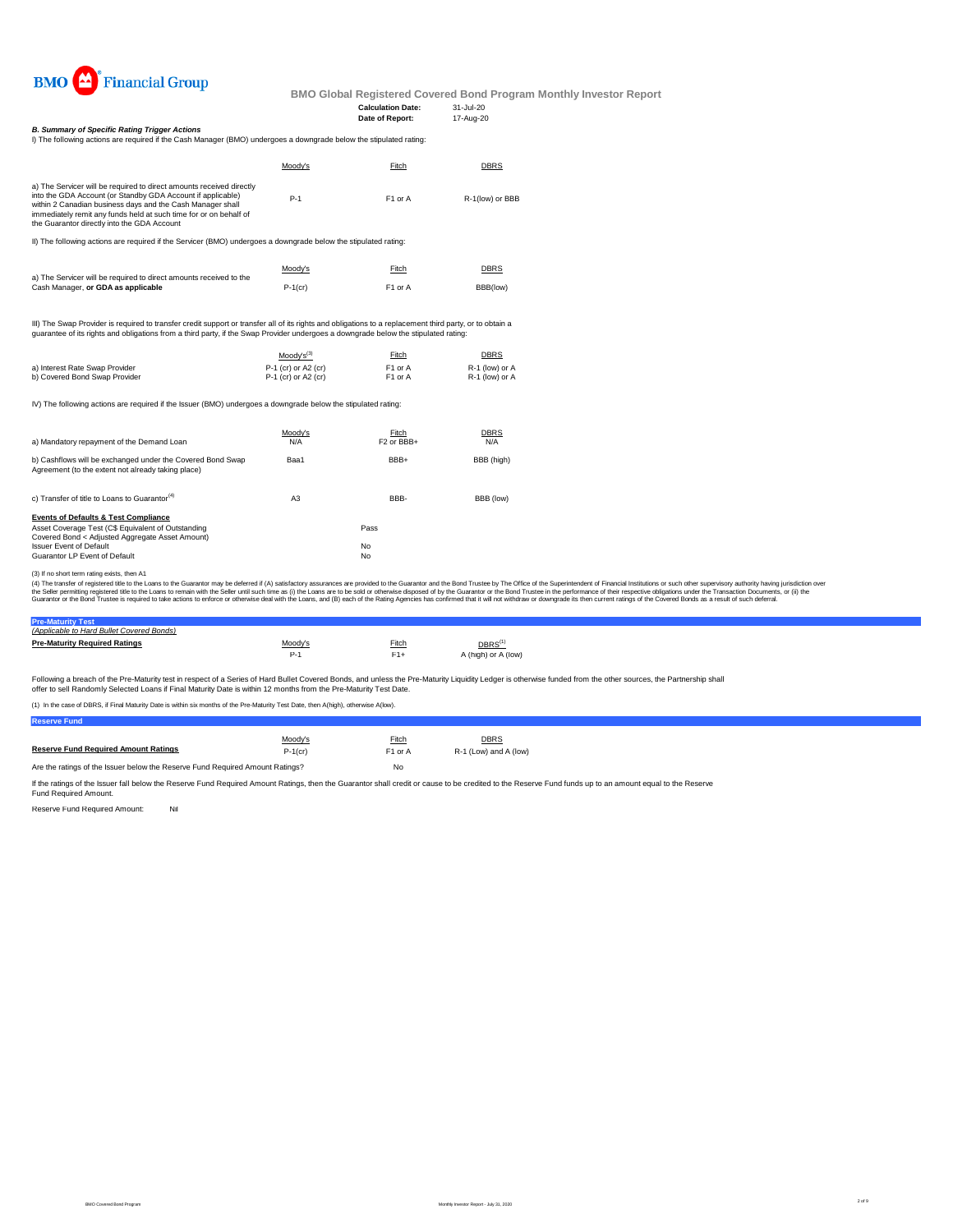

**Date of Report:** 

**Calculation Date:** 31-Jul-20

*B. Summary of Specific Rating Trigger Actions*

| Moodv's | Fitch               | <b>DBRS</b>     |
|---------|---------------------|-----------------|
| $P-1$   | F <sub>1</sub> or A | R-1(low) or BBB |
|         |                     |                 |

II) The following actions are required if the Servicer (BMO) undergoes a downgrade below the stipulated rating:

|                                                                    | Moody's    | Fitch               | <b>DBRS</b> |
|--------------------------------------------------------------------|------------|---------------------|-------------|
| a) The Servicer will be required to direct amounts received to the |            |                     |             |
| Cash Manager, or GDA as applicable                                 | $P-1$ (cr) | F <sub>1</sub> or A | BBB(low)    |

III) The Swap Provider is required to transfer credit support or transfer all of its rights and obligations to a replacement third party, or to obtain a<br>guarantee of its rights and obligations from a third party, if the Sw

|                                | $Mody's^{(3)}$        | Fitch               | <b>DBRS</b>    |
|--------------------------------|-----------------------|---------------------|----------------|
| a) Interest Rate Swap Provider | $P-1$ (cr) or A2 (cr) | F <sub>1</sub> or A | R-1 (low) or A |
| b) Covered Bond Swap Provider  | $P-1$ (cr) or A2 (cr) | F1 or A             | R-1 (low) or A |

IV) The following actions are required if the Issuer (BMO) undergoes a downgrade below the stipulated rating:

| a) Mandatory repayment of the Demand Loan                                                                                                                                                                                   | Moody's<br>N/A | Fitch<br>F <sub>2</sub> or BB <sub>+</sub> | <b>DBRS</b><br>N/A |
|-----------------------------------------------------------------------------------------------------------------------------------------------------------------------------------------------------------------------------|----------------|--------------------------------------------|--------------------|
| b) Cashflows will be exchanged under the Covered Bond Swap<br>Agreement (to the extent not already taking place)                                                                                                            | Baa1           | BBB+                                       | BBB (high)         |
| c) Transfer of title to Loans to Guarantor <sup>(4)</sup>                                                                                                                                                                   | A <sub>3</sub> | BBB-                                       | BBB (low)          |
| <b>Events of Defaults &amp; Test Compliance</b><br>Asset Coverage Test (C\$ Equivalent of Outstanding<br>Covered Bond < Adjusted Aggregate Asset Amount)<br><b>Issuer Event of Default</b><br>Guarantor LP Event of Default |                | Pass<br>No<br>No                           |                    |

(3) If no short term rating exists, then A1

(4) The transfer of registered title to the Loans to the Guarantor may be deferred if (A) satisfactory assurances are provided to the Guarantor and the Bond Trustee by The Office of the Superintendent of Financial Institut

## **Pre-Maturity Test** *(Applicable to Hard Bullet Covered Bonds)*

| <b>Pre-Maturity Required Ratings</b> | Moodv's | Fitch | DBRS <sup>(1)</sup> |
|--------------------------------------|---------|-------|---------------------|
|                                      |         |       | A (high) or A (low) |
|                                      |         |       |                     |

Following a breach of the Pre-Maturity test in respect of a Series of Hard Bullet Covered Bonds, and unless the Pre-Maturity Liquidity Ledger is otherwise funded from the other sources, the Partnership shall offer to sell Randomly Selected Loans if Final Maturity Date is within 12 months from the Pre-Maturity Test Date.

(1) In the case of DBRS, if Final Maturity Date is within six months of the Pre-Maturity Test Date, then A(high), otherwise A(low).

**Reserve Fund**

| <b>Reserve Fund Required Amount Ratings</b>                                   | Moody's<br>$P-1$ (cr) | Fitch<br>F <sub>1</sub> or A | DBRS<br>R-1 (Low) and A (low) |  |
|-------------------------------------------------------------------------------|-----------------------|------------------------------|-------------------------------|--|
| Are the ratings of the Issuer below the Reserve Fund Reguired Amount Ratings? |                       | No                           |                               |  |

If the ratings of the Issuer fall below the Reserve Fund Required Amount Ratings, then the Guarantor shall credit or cause to be credited to the Reserve Fund funds up to an amount equal to the Reserve<br>Fund Required Amount.

Reserve Fund Required Amount: Nil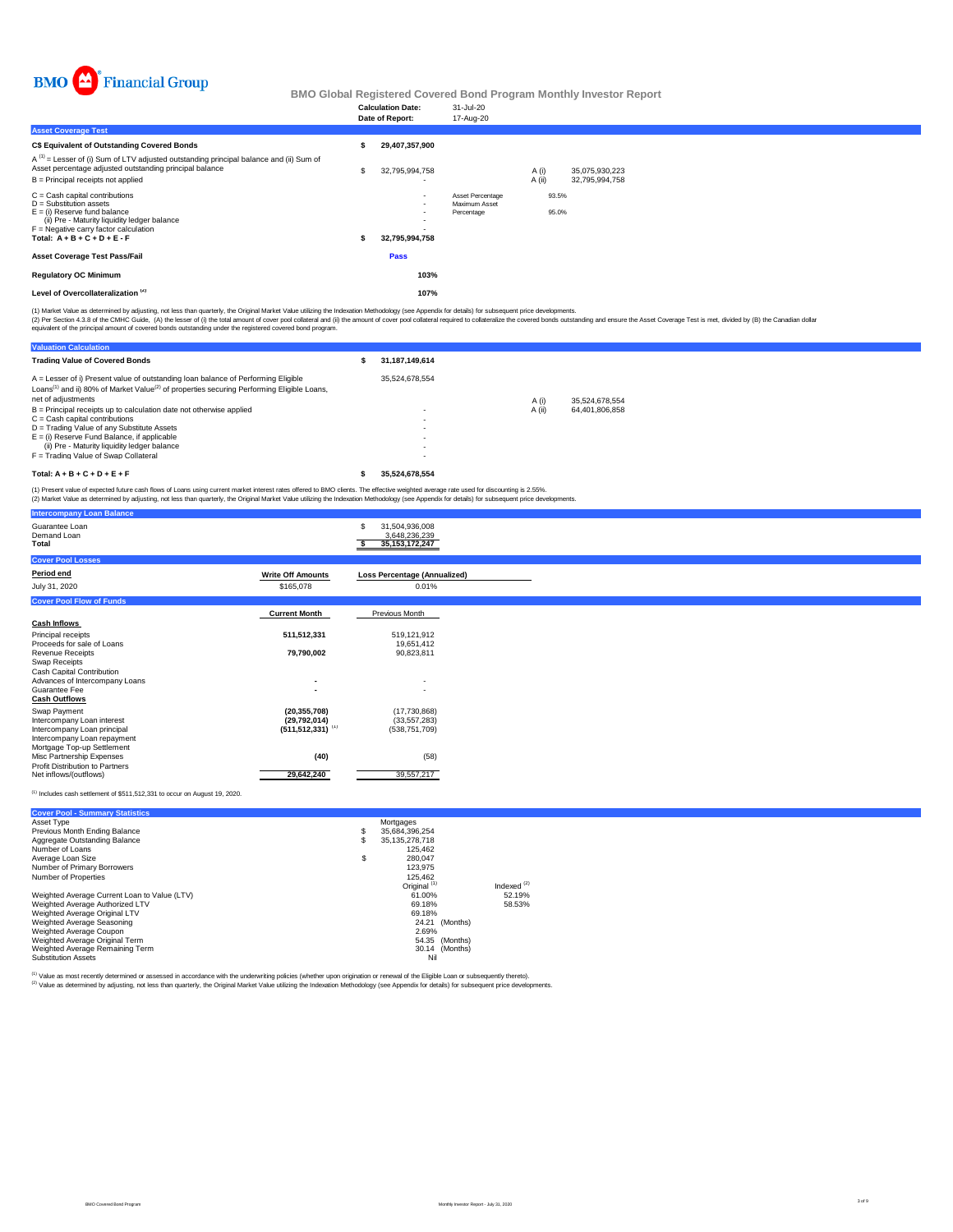

|                                                                                                                                                                                                                      |   | <b>Calculation Date:</b><br>Date of Report: | 31-Jul-20<br>17-Aug-20                          |                 |                |                                  |
|----------------------------------------------------------------------------------------------------------------------------------------------------------------------------------------------------------------------|---|---------------------------------------------|-------------------------------------------------|-----------------|----------------|----------------------------------|
| <b>Asset Coverage Test</b>                                                                                                                                                                                           |   |                                             |                                                 |                 |                |                                  |
| C\$ Equivalent of Outstanding Covered Bonds                                                                                                                                                                          |   | 29,407,357,900                              |                                                 |                 |                |                                  |
| $A^{(1)}$ = Lesser of (i) Sum of LTV adjusted outstanding principal balance and (ii) Sum of<br>Asset percentage adjusted outstanding principal balance<br>B = Principal receipts not applied                         | S | 32,795,994,758<br>$\overline{\phantom{0}}$  |                                                 | A (i)<br>A (ii) |                | 35,075,930,223<br>32,795,994,758 |
| C = Cash capital contributions<br>D = Substitution assets<br>E = (i) Reserve fund balance<br>(ii) Pre - Maturity liquidity ledger balance<br>F = Negative carry factor calculation<br>Total: $A + B + C + D + E - F$ |   | $\overline{\phantom{a}}$<br>32,795,994,758  | Asset Percentage<br>Maximum Asset<br>Percentage |                 | 93.5%<br>95.0% |                                  |
| Asset Coverage Test Pass/Fail                                                                                                                                                                                        |   | Pass                                        |                                                 |                 |                |                                  |
| <b>Regulatory OC Minimum</b>                                                                                                                                                                                         |   | 103%                                        |                                                 |                 |                |                                  |
| Level of Overcollateralization <sup>(2)</sup>                                                                                                                                                                        |   | 107%                                        |                                                 |                 |                |                                  |
|                                                                                                                                                                                                                      |   |                                             |                                                 |                 |                |                                  |

(1) Market Value as determined by adjusting, not less than quarterly, the Original Market Value utilizing the Indexation Methodology (see Appendix for details) for subsequent price developments.<br>(2) Per Section 4.3.8 of th

| <b>Valuation Calculation</b>                                                                                                                                                                                                 |                   |        |                |
|------------------------------------------------------------------------------------------------------------------------------------------------------------------------------------------------------------------------------|-------------------|--------|----------------|
| <b>Trading Value of Covered Bonds</b>                                                                                                                                                                                        | 31, 187, 149, 614 |        |                |
| A = Lesser of i) Present value of outstanding loan balance of Performing Eligible<br>Loans <sup>(1)</sup> and ii) 80% of Market Value <sup>(2)</sup> of properties securing Performing Eligible Loans,<br>net of adiustments | 35.524.678.554    | A (i)  | 35.524.678.554 |
| B = Principal receipts up to calculation date not otherwise applied<br>C = Cash capital contributions                                                                                                                        |                   | A (ii) | 64.401.806.858 |
| D = Trading Value of any Substitute Assets<br>E = (i) Reserve Fund Balance, if applicable                                                                                                                                    |                   |        |                |
| (ii) Pre - Maturity liquidity ledger balance<br>F = Trading Value of Swap Collateral                                                                                                                                         |                   |        |                |
| $Total: A + B + C + D + E + F$                                                                                                                                                                                               | 35.524.678.554    |        |                |

(1) Present value of expected future cash flows of Loans using current market interest rates offered to BMO clients. The effective weighted average rate used for discounting is 2.55%.<br>(2) Market Value as determined by adju

| <b>Intercompany Loan Balance</b>                        |                                  |                                                            |  |
|---------------------------------------------------------|----------------------------------|------------------------------------------------------------|--|
| Guarantee Loan<br>Demand Loan<br>Total                  |                                  | \$<br>31,504,936,008<br>3,648,236,239<br>35, 153, 172, 247 |  |
| <b>Cover Pool Losses</b>                                |                                  |                                                            |  |
| Period end                                              | <b>Write Off Amounts</b>         | <b>Loss Percentage (Annualized)</b>                        |  |
| July 31, 2020                                           | \$165,078                        | 0.01%                                                      |  |
| <b>Cover Pool Flow of Funds</b>                         |                                  |                                                            |  |
|                                                         | <b>Current Month</b>             | Previous Month                                             |  |
| <b>Cash Inflows</b>                                     |                                  |                                                            |  |
| Principal receipts                                      | 511,512,331                      | 519,121,912                                                |  |
| Proceeds for sale of Loans                              |                                  | 19,651,412                                                 |  |
| Revenue Receipts                                        | 79,790,002                       | 90,823,811                                                 |  |
| Swap Receipts<br>Cash Capital Contribution              |                                  |                                                            |  |
| Advances of Intercompany Loans                          |                                  | $\overline{\phantom{a}}$                                   |  |
| Guarantee Fee                                           |                                  | $\overline{\phantom{a}}$                                   |  |
| <b>Cash Outflows</b>                                    |                                  |                                                            |  |
| Swap Payment                                            | (20, 355, 708)                   | (17,730,868)                                               |  |
| Intercompany Loan interest                              | (29,792,014)                     | (33, 557, 283)                                             |  |
| Intercompany Loan principal                             | $(511, 512, 331)$ <sup>(1)</sup> | (538, 751, 709)                                            |  |
| Intercompany Loan repayment                             |                                  |                                                            |  |
| Mortgage Top-up Settlement<br>Misc Partnership Expenses |                                  |                                                            |  |
| Profit Distribution to Partners                         | (40)                             | (58)                                                       |  |
| Net inflows/(outflows)                                  | 29,642,240                       | 39,557,217                                                 |  |

#### $<sup>(1)</sup>$  Includes cash settlement of \$511,512,331 to occur on August 19, 2020.</sup>

| <b>Cover Pool - Summary Statistics</b>       |    |                         |               |
|----------------------------------------------|----|-------------------------|---------------|
| Asset Type                                   |    | Mortgages               |               |
| Previous Month Ending Balance                | s  | 35.684.396.254          |               |
| Aggregate Outstanding Balance                |    | 35.135.278.718          |               |
| Number of Loans                              |    | 125.462                 |               |
| Average Loan Size                            | \$ | 280.047                 |               |
| Number of Primary Borrowers                  |    | 123.975                 |               |
| Number of Properties                         |    | 125.462                 |               |
|                                              |    | Original <sup>(1)</sup> | Indexed $(2)$ |
| Weighted Average Current Loan to Value (LTV) |    | 61.00%                  | 52.19%        |
| Weighted Average Authorized LTV              |    | 69.18%                  | 58.53%        |
| Weighted Average Original LTV                |    | 69.18%                  |               |
| Weighted Average Seasoning                   |    | (Months)<br>24.21       |               |
| Weighted Average Coupon                      |    | 2.69%                   |               |
| Weighted Average Original Term               |    | 54.35 (Months)          |               |
| Weighted Average Remaining Term              |    | 30.14 (Months)          |               |
| <b>Substitution Assets</b>                   |    | Nil                     |               |

<sup>(1)</sup> Value as most recently determined or assessed in accordance with the underwriting policies (whether upon origination or renewal of the Eligible Loan or subsequently thereto).<br><sup>(2)</sup> Value as determined by adjusting, n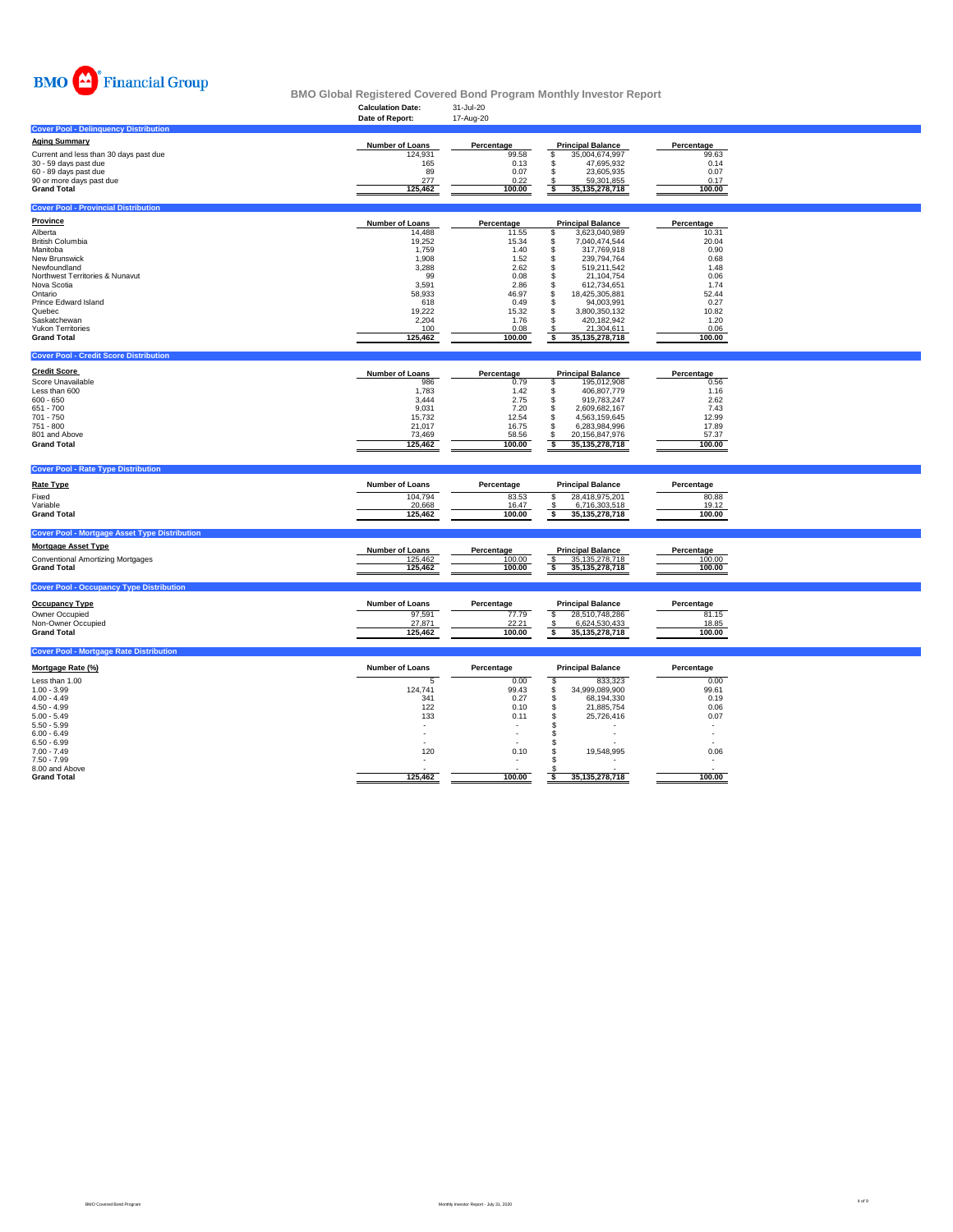

|                                                      | <b>Calculation Date:</b> | 31-Jul-20       |                                    |                 |  |
|------------------------------------------------------|--------------------------|-----------------|------------------------------------|-----------------|--|
|                                                      | Date of Report:          | 17-Aug-20       |                                    |                 |  |
| <b>Cover Pool - Delinguency Distribution</b>         |                          |                 |                                    |                 |  |
| <b>Aging Summary</b>                                 | <b>Number of Loans</b>   | Percentage      | <b>Principal Balance</b>           | Percentage      |  |
| Current and less than 30 days past due               | 124,931                  | 99.58           | \$<br>35,004,674,997               | 99.63           |  |
| 30 - 59 days past due                                | 165                      | 0.13            | 47,695,932<br>\$                   | 0.14            |  |
| 60 - 89 days past due                                | 89                       | 0.07            | \$<br>23,605,935                   | 0.07            |  |
| 90 or more days past due                             | 277                      | 0.22            | 59,301,855                         | 0.17            |  |
| <b>Grand Total</b>                                   | 125,462                  | 100.00          | $\frac{S}{S}$<br>35, 135, 278, 718 | 100.00          |  |
|                                                      |                          |                 |                                    |                 |  |
| <b>Cover Pool - Provincial Distribution</b>          |                          |                 |                                    |                 |  |
| <b>Province</b>                                      | <b>Number of Loans</b>   | Percentage      | <b>Principal Balance</b>           | Percentage      |  |
| Alberta                                              | 14,488                   | 11.55           | \$<br>3,623,040,989                | 10.31           |  |
| <b>British Columbia</b>                              | 19,252                   | 15.34           | 7,040,474,544<br>\$                | 20.04           |  |
| Manitoba                                             | 1,759                    | 1.40            | \$<br>317,769,918                  | 0.90            |  |
| New Brunswick                                        | 1,908                    | 1.52            | \$<br>239,794,764                  | 0.68            |  |
| Newfoundland                                         | 3,288                    | 2.62            | \$<br>519,211,542                  | 1.48            |  |
| Northwest Territories & Nunavut                      | 99                       | 0.08            | \$<br>21,104,754                   | 0.06            |  |
| Nova Scotia                                          | 3,591                    | 2.86            | \$<br>612,734,651                  | 1.74            |  |
| Ontario                                              | 58.933                   | 46.97           | $\mathbf{s}$<br>18,425,305,881     | 52.44           |  |
| Prince Edward Island                                 | 618                      | 0.49            | \$<br>94,003,991                   | 0.27            |  |
| Quebec                                               | 19,222                   | 15.32           | \$<br>3,800,350,132                | 10.82           |  |
| Saskatchewan                                         | 2.204                    | 1.76            | s<br>420,182,942                   | 1.20            |  |
| <b>Yukon Territories</b>                             | 100                      | 0.08            | \$<br>21,304,611                   | 0.06            |  |
| <b>Grand Total</b>                                   | 125,462                  | 100.00          | s<br>35,135,278,718                | 100.00          |  |
|                                                      |                          |                 |                                    |                 |  |
| <b>Cover Pool - Credit Score Distribution</b>        |                          |                 |                                    |                 |  |
| <b>Credit Score</b>                                  | <b>Number of Loans</b>   | Percentage      | <b>Principal Balance</b>           | Percentage      |  |
| Score Unavailable                                    | 986                      | 0.79            | s<br>195,012,908                   | 0.56            |  |
| Less than 600                                        | 1,783                    | 1.42            | \$<br>406,807,779                  | 1.16            |  |
| $600 - 650$                                          | 3,444                    | 2.75            | \$<br>919,783,247                  | 2.62            |  |
| 651 - 700                                            | 9,031                    | 7.20            | \$<br>2,609,682,167                | 7.43            |  |
| 701 - 750                                            | 15,732                   | 12.54           | \$<br>4,563,159,645                | 12.99           |  |
| 751 - 800                                            | 21,017                   | 16.75           | \$<br>6,283,984,996                | 17.89           |  |
| 801 and Above                                        | 73,469                   | 58.56           | \$<br>20,156,847,976               | 57.37           |  |
| <b>Grand Total</b>                                   | 125,462                  | 100.00          | s<br>35, 135, 278, 718             | 100.00          |  |
|                                                      |                          |                 |                                    |                 |  |
| <b>Cover Pool - Rate Type Distribution</b>           |                          |                 |                                    |                 |  |
|                                                      |                          |                 |                                    |                 |  |
| <b>Rate Type</b>                                     | <b>Number of Loans</b>   | Percentage      | <b>Principal Balance</b>           | Percentage      |  |
| Fixed                                                | 104,794                  | 83.53           | S<br>28,418,975,201                | 80.88           |  |
| Variable                                             | 20,668                   | 16.47           | $\mathsf{\$}$<br>6,716,303,518     | 19.12           |  |
| <b>Grand Total</b>                                   | 125,462                  | 100.00          | s<br>35,135,278,718                | 100.00          |  |
|                                                      |                          |                 |                                    |                 |  |
| <b>Cover Pool - Mortgage Asset Type Distribution</b> |                          |                 |                                    |                 |  |
| <b>Mortgage Asset Type</b>                           | Number of Loans          | Percentage      | <b>Principal Balance</b>           | Percentage      |  |
| <b>Conventional Amortizing Mortgages</b>             | 125,462                  | 100.00          | s<br>35, 135, 278, 718             | 100.00          |  |
| <b>Grand Total</b>                                   | 125,462                  | 100.00          | \$<br>35, 135, 278, 718            | 100.00          |  |
|                                                      |                          |                 |                                    |                 |  |
| <b>Cover Pool - Occupancy Type Distribution</b>      |                          |                 |                                    |                 |  |
| <b>Occupancy Type</b>                                | <b>Number of Loans</b>   | Percentage      | <b>Principal Balance</b>           | Percentage      |  |
|                                                      |                          |                 |                                    |                 |  |
| Owner Occupied                                       | 97,591                   | 77.79           | \$<br>28,510,748,286               | 81.15           |  |
| Non-Owner Occupied                                   | 27,871                   | 22.21<br>100.00 | 6,624,530,433<br>ॱऽ                | 18.85<br>100.00 |  |
| <b>Grand Total</b>                                   | 125,462                  |                 | 35,135,278,718                     |                 |  |
| <b>Cover Pool - Mortgage Rate Distribution</b>       |                          |                 |                                    |                 |  |
|                                                      |                          |                 |                                    |                 |  |
| Mortgage Rate (%)                                    | <b>Number of Loans</b>   | Percentage      | <b>Principal Balance</b>           | Percentage      |  |
| Less than 1.00                                       | 5                        | 0.00            | s<br>833,323                       | 0.00            |  |
| $1.00 - 3.99$                                        | 124.741                  | 99.43           | S<br>34,999,089,900                | 99.61           |  |
| $4.00 - 4.49$                                        | 341                      | 0.27            | 68,194,330<br>\$                   | 0.19            |  |
| $4.50 - 4.99$                                        | 122                      | 0.10            | 21,885,754<br>\$                   | 0.06            |  |

| 7.50 - 7.99        | . .     | . .    |                   |        |
|--------------------|---------|--------|-------------------|--------|
| 8.00 and Above     |         |        |                   | . .    |
| <b>Grand Total</b> | 125.462 | 100.00 | 35, 135, 278, 718 | 100.00 |
|                    |         |        |                   |        |
|                    |         |        |                   |        |
|                    |         |        |                   |        |
|                    |         |        |                   |        |
|                    |         |        |                   |        |
|                    |         |        |                   |        |

5.00 - 5.49 133 0.11 \$ 25,726,416 0.07 5.50 - 5.99 - - \$ - - 6.00 - 6.49 - - \$ - - 6.50 - 6.99 - - \$ - - 7.00 - 7.49 120 0.10 \$ 19,548,995 0.06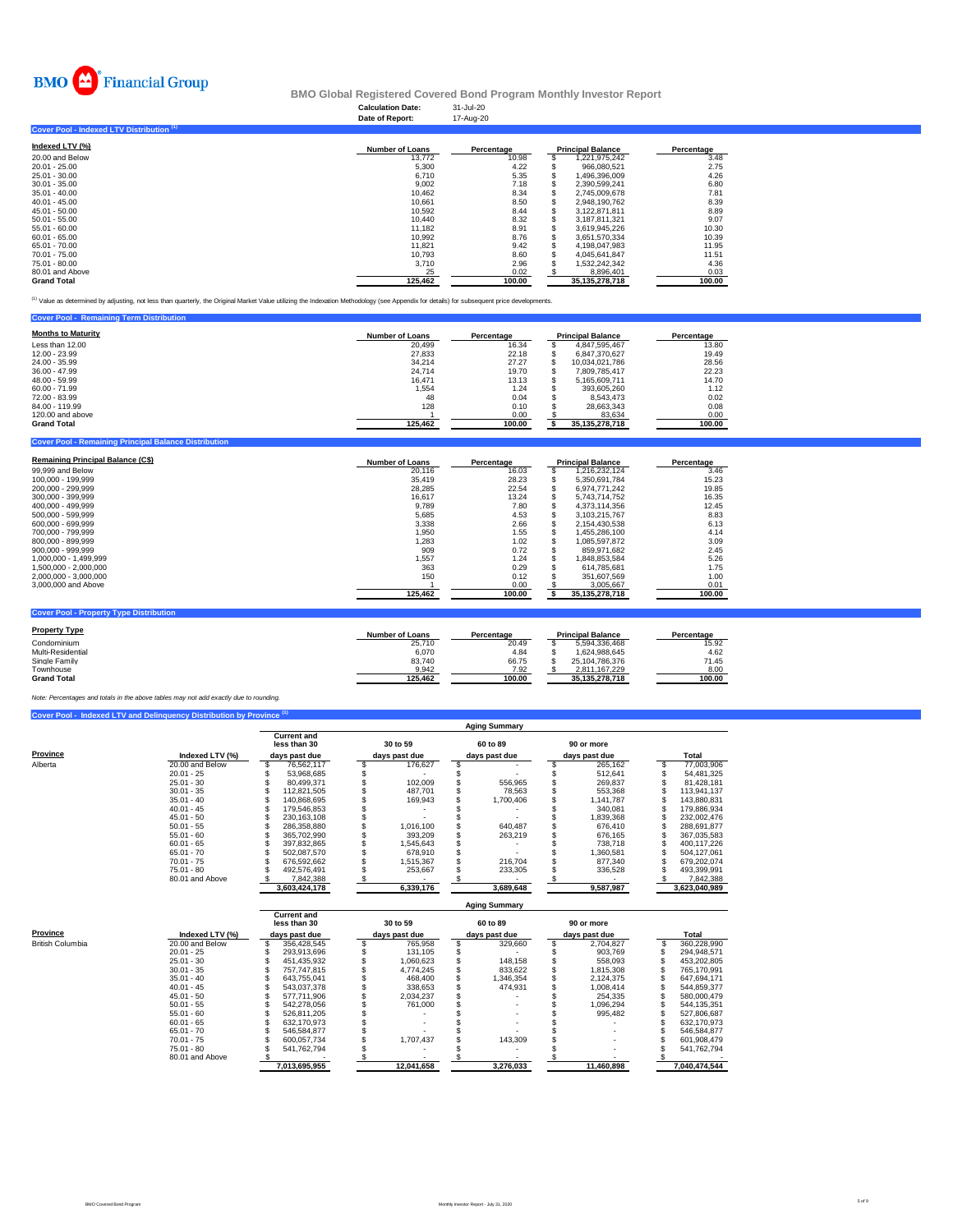

#### **Calculation Date:** 31-Jul-20 **BMO Global Registered Covered Bond Program Monthly Investor Report**

|                                           | Date of Report:        | 17-Aug-20  |                          |            |
|-------------------------------------------|------------------------|------------|--------------------------|------------|
| Cover Pool - Indexed LTV Distribution (1) |                        |            |                          |            |
| Indexed LTV (%)                           | <b>Number of Loans</b> | Percentage | <b>Principal Balance</b> | Percentage |
| 20,00 and Below                           | 13.772                 | 10.98      | 1,221,975,242            | 3.48       |
| $20.01 - 25.00$                           | 5,300                  | 4.22       | 966.080.521              | 2.75       |
| 25.01 - 30.00                             | 6,710                  | 5.35       | 1,496,396,009            | 4.26       |
| $30.01 - 35.00$                           | 9.002                  | 7.18       | 2.390.599.241            | 6.80       |
| $35.01 - 40.00$                           | 10.462                 | 8.34       | 2,745,009,678            | 7.81       |
| $40.01 - 45.00$                           | 10.661                 | 8.50       | 2,948,190,762            | 8.39       |
| $45.01 - 50.00$                           | 10.592                 | 8.44       | 3.122.871.811            | 8.89       |
| $50.01 - 55.00$                           | 10.440                 | 8.32       | 3,187,811,321            | 9.07       |
| $55.01 - 60.00$                           | 11.182                 | 8.91       | 3.619.945.226            | 10.30      |
| $60.01 - 65.00$                           | 10.992                 | 8.76       | 3,651,570,334            | 10.39      |
| 65.01 - 70.00                             | 11.821                 | 9.42       | 4.198.047.983            | 11.95      |
| 70.01 - 75.00                             | 10.793                 | 8.60       | 4,045,641,847            | 11.51      |
| 75.01 - 80.00                             | 3,710                  | 2.96       | 1,532,242,342            | 4.36       |
| 80.01 and Above                           | 25                     | 0.02       | 8,896,401                | 0.03       |
| <b>Grand Total</b>                        | 125.462                | 100.00     | 35, 135, 278, 718        | 100.00     |

<sup>(1)</sup> Value as determined by adjusting, not less than quarterly, the Original Market Value utilizing the Indexation Methodology (see Appendix for details) for subsequent price developments.

| <b>Cover Pool - Remaining Term Distribution</b> |                        |            |                          |            |
|-------------------------------------------------|------------------------|------------|--------------------------|------------|
| <b>Months to Maturity</b>                       | <b>Number of Loans</b> | Percentage | <b>Principal Balance</b> | Percentage |
| Less than 12.00                                 | 20.499                 | 16.34      | 4.847.595.467            | 13.80      |
| 12.00 - 23.99                                   | 27,833                 | 22.18      | 6.847.370.627            | 19.49      |
| 24.00 - 35.99                                   | 34.214                 | 27.27      | 10.034.021.786           | 28.56      |
| $36.00 - 47.99$                                 | 24.714                 | 19.70      | 7.809.785.417            | 22.23      |
| 48.00 - 59.99                                   | 16.471                 | 13.13      | 5.165.609.711            | 14.70      |
| $60.00 - 71.99$                                 | 1.554                  | 1.24       | 393.605.260              | 1.12       |
| 72.00 - 83.99                                   | 48                     | 0.04       | 8.543.473                | 0.02       |
| 84.00 - 119.99                                  | 128                    | 0.10       | 28.663.343               | 0.08       |
| 120,00 and above                                |                        | 0.00       | 83.634                   | 0.00       |
| <b>Grand Total</b>                              | 125.462                | 100.00     | 35.135.278.718           | 100.00     |

| <b>Cover Pool - Remaining Principal Balance Distribution</b> |                        |            |                          |            |
|--------------------------------------------------------------|------------------------|------------|--------------------------|------------|
| <b>Remaining Principal Balance (C\$)</b>                     | <b>Number of Loans</b> | Percentage | <b>Principal Balance</b> | Percentage |
| 99,999 and Below                                             | 20.116                 | 16.03      | 1.216.232.124            | 3.46       |
| 100.000 - 199.999                                            | 35.419                 | 28.23      | 5.350.691.784            | 15.23      |
| 200.000 - 299.999                                            | 28.285                 | 22.54      | 6.974.771.242            | 19.85      |
| 300.000 - 399.999                                            | 16.617                 | 13.24      | 5.743.714.752            | 16.35      |
| 400.000 - 499.999                                            | 9.789                  | 7.80       | 4.373.114.356            | 12.45      |
| 500.000 - 599.999                                            | 5.685                  | 4.53       | 3.103.215.767            | 8.83       |
| 600.000 - 699.999                                            | 3.338                  | 2.66       | 2.154.430.538            | 6.13       |
| 700.000 - 799.999                                            | 1.950                  | 1.55       | 1.455.286.100            | 4.14       |
| 800.000 - 899.999                                            | 1.283                  | 1.02       | 1.085.597.872            | 3.09       |
| 900.000 - 999.999                                            | 909                    | 0.72       | 859.971.682              | 2.45       |
| 1.000.000 - 1.499.999                                        | 1.557                  | 1.24       | 1.848.853.584            | 5.26       |
| 1.500.000 - 2.000.000                                        | 363                    | 0.29       | 614.785.681              | 1.75       |
| 2,000,000 - 3,000,000                                        | 150                    | 0.12       | 351.607.569              | 1.00       |
| 3,000,000 and Above                                          |                        | 0.00       | 3.005.667                | 0.01       |
|                                                              | 125.462                | 100.00     | 35.135.278.718           | 100.00     |

| <b>Property Type</b> | <b>Number of Loans</b> | Percentage | <b>Principal Balance</b> | Percentage |
|----------------------|------------------------|------------|--------------------------|------------|
| Condominium          | 25.710                 | 20.49      | 5.594.336.468            | 15.92      |
| Multi-Residential    | 6.070                  | 4.84       | 1.624.988.645            | 4.62       |
| Single Family        | 83.740                 | 66.75      | 25.104.786.376           | 71.45      |
| Townhouse            | 9.942                  | 7.92       | 2.811.167.229            | 8.00       |
| <b>Grand Total</b>   | 125.462                | 100.00     | 35.135.278.718           | 100.00     |

### **Cover Book Book Book 1 and Delinquency Distribution by Province <b>Property** *Note: Percentages and totals in the above tables may not add exactly due to rounding.*

**Cover Pool - Property Type Distribution**

|          |                 | <b>Aging Summary</b> |                             |  |               |  |               |  |               |  |               |  |  |  |  |
|----------|-----------------|----------------------|-----------------------------|--|---------------|--|---------------|--|---------------|--|---------------|--|--|--|--|
|          |                 |                      | Current and<br>less than 30 |  | 30 to 59      |  | 60 to 89      |  | 90 or more    |  |               |  |  |  |  |
| Province | Indexed LTV (%) | days past due        |                             |  | days past due |  | days past due |  | days past due |  | Total         |  |  |  |  |
| Alberta  | 20.00 and Below |                      | 76.562.117                  |  | 176.627       |  |               |  | 265.162       |  | 77,003,906    |  |  |  |  |
|          | $20.01 - 25$    |                      | 53.968.685                  |  |               |  |               |  | 512.641       |  | 54,481,325    |  |  |  |  |
|          | $25.01 - 30$    |                      | 80.499.371                  |  | 102.009       |  | 556.965       |  | 269.837       |  | 81.428.181    |  |  |  |  |
|          | $30.01 - 35$    |                      | 112.821.505                 |  | 487.701       |  | 78.563        |  | 553.368       |  | 113.941.137   |  |  |  |  |
|          | $35.01 - 40$    |                      | 140.868.695                 |  | 169,943       |  | 1.700.406     |  | 1.141.787     |  | 143.880.831   |  |  |  |  |
|          | $40.01 - 45$    |                      | 179.546.853                 |  |               |  |               |  | 340.081       |  | 179.886.934   |  |  |  |  |
|          | $45.01 - 50$    |                      | 230.163.108                 |  |               |  |               |  | 1,839,368     |  | 232,002,476   |  |  |  |  |
|          | $50.01 - 55$    |                      | 286.358.880                 |  | 1.016.100     |  | 640.487       |  | 676.410       |  | 288.691.877   |  |  |  |  |
|          | $55.01 - 60$    |                      | 365.702.990                 |  | 393,209       |  | 263.219       |  | 676.165       |  | 367.035.583   |  |  |  |  |
|          | $60.01 - 65$    |                      | 397,832,865                 |  | 1,545,643     |  |               |  | 738.718       |  | 400.117.226   |  |  |  |  |
|          | $65.01 - 70$    |                      | 502.087.570                 |  | 678.910       |  |               |  | 1,360,581     |  | 504.127.061   |  |  |  |  |
|          | $70.01 - 75$    |                      | 676.592.662                 |  | 1.515.367     |  | 216,704       |  | 877.340       |  | 679.202.074   |  |  |  |  |
|          | 75.01 - 80      |                      | 492.576.491                 |  | 253.667       |  | 233.305       |  | 336.528       |  | 493.399.991   |  |  |  |  |
|          | 80.01 and Above |                      | 7.842.388                   |  |               |  |               |  |               |  | 7.842.388     |  |  |  |  |
|          |                 |                      | 3,603,424,178               |  | 6,339,176     |  | 3,689,648     |  | 9,587,987     |  | 3,623,040,989 |  |  |  |  |

|                  |                 |                                    |               |  |               |                          | <b>Aging Summary</b>     |               |               |  |
|------------------|-----------------|------------------------------------|---------------|--|---------------|--------------------------|--------------------------|---------------|---------------|--|
|                  |                 | <b>Current and</b><br>less than 30 |               |  |               | 30 to 59                 | 60 to 89                 | 90 or more    |               |  |
| Province         | Indexed LTV (%) | days past due                      |               |  | days past due |                          | days past due            | days past due | <b>Total</b>  |  |
| British Columbia | 20.00 and Below |                                    | 356.428.545   |  |               | 765.958                  | 329.660                  | 2.704.827     | 360.228.990   |  |
|                  | $20.01 - 25$    |                                    | 293.913.696   |  |               | 131.105                  |                          | 903.769       | 294.948.571   |  |
|                  | $25.01 - 30$    |                                    | 451.435.932   |  |               | 1.060.623                | 148.158                  | 558.093       | 453.202.805   |  |
|                  | $30.01 - 35$    |                                    | 757.747.815   |  |               | 4.774.245                | 833.622                  | 1.815.308     | 765.170.991   |  |
|                  | $35.01 - 40$    |                                    | 643.755.041   |  |               | 468,400                  | 1.346.354                | 2.124.375     | 647.694.171   |  |
|                  | $40.01 - 45$    |                                    | 543.037.378   |  |               | 338.653                  | 474.931                  | 1.008.414     | 544.859.377   |  |
|                  | $45.01 - 50$    |                                    | 577.711.906   |  |               | 2.034.237                |                          | 254.335       | 580,000,479   |  |
|                  | $50.01 - 55$    |                                    | 542.278.056   |  |               | 761.000                  | $\overline{\phantom{0}}$ | 1.096.294     | 544.135.351   |  |
|                  | $55.01 - 60$    |                                    | 526,811,205   |  |               |                          | $\overline{\phantom{0}}$ | 995.482       | 527.806.687   |  |
|                  | $60.01 - 65$    |                                    | 632.170.973   |  |               |                          | $\overline{\phantom{0}}$ |               | 632.170.973   |  |
|                  | $65.01 - 70$    |                                    | 546.584.877   |  |               |                          |                          |               | 546.584.877   |  |
|                  | $70.01 - 75$    |                                    | 600.057.734   |  |               | 1.707.437                | 143.309                  |               | 601.908.479   |  |
|                  | $75.01 - 80$    |                                    | 541.762.794   |  |               | $\overline{\phantom{0}}$ |                          |               | 541.762.794   |  |
|                  | 80.01 and Above |                                    |               |  |               |                          |                          |               |               |  |
|                  |                 |                                    | 7,013,695,955 |  |               | 12.041.658               | 3.276.033                | 11.460.898    | 7.040.474.544 |  |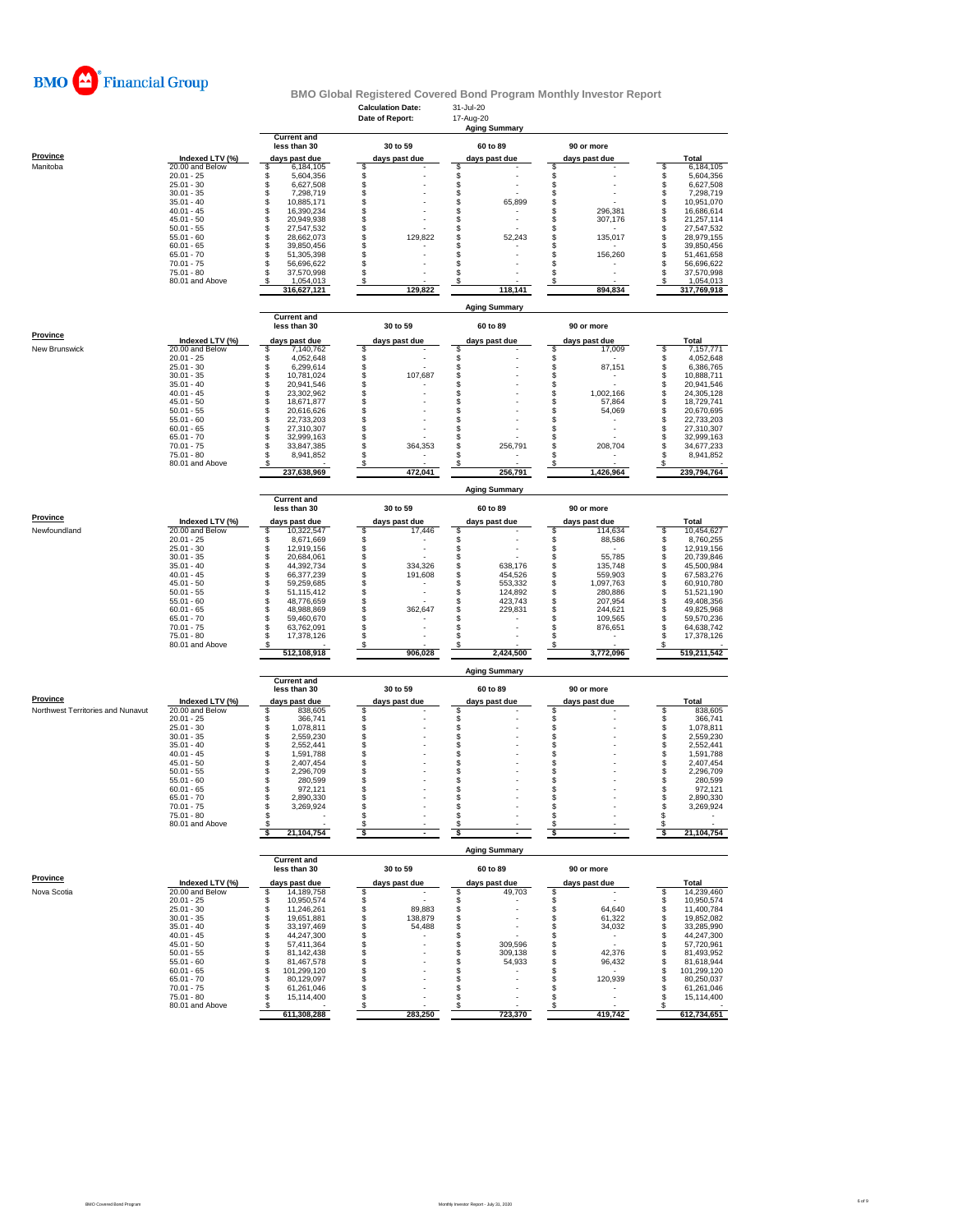

|                                   |                                    |                                      | <b>Calculation Date:</b><br>Date of Report: | 31-Jul-20<br>17-Aug-20         |                                  |                                      |
|-----------------------------------|------------------------------------|--------------------------------------|---------------------------------------------|--------------------------------|----------------------------------|--------------------------------------|
|                                   |                                    |                                      |                                             | <b>Aging Summary</b>           |                                  |                                      |
|                                   |                                    | <b>Current and</b><br>less than 30   | 30 to 59                                    |                                | 90 or more                       |                                      |
| Province                          |                                    |                                      |                                             | 60 to 89                       |                                  |                                      |
| Manitoba                          | Indexed LTV (%)<br>20.00 and Below | days past due<br>\$<br>6,184,105     | days past due<br>\$                         | days past due<br>\$            | days past due                    | <b>Total</b><br>6,184,105<br>\$      |
|                                   | $20.01 - 25$                       | S<br>5,604,356                       | \$                                          | \$                             | \$                               | \$<br>5,604,356                      |
|                                   | $25.01 - 30$<br>$30.01 - 35$       | \$<br>6,627,508<br>\$<br>7,298,719   | \$                                          | $\hat{\mathbb{S}}$<br>\$       | \$                               | \$<br>6,627,508<br>\$                |
|                                   | $35.01 - 40$                       | 10,885,171<br>s                      | \$                                          | \$<br>65,899                   | \$<br>\$                         | 7,298,719<br>\$<br>10,951,070        |
|                                   | $40.01 - 45$                       | \$<br>16,390,234                     | \$                                          | \$                             | \$<br>296.381                    | s<br>16,686,614                      |
|                                   | $45.01 - 50$                       | \$<br>20,949,938                     | \$                                          | \$                             | \$<br>307,176                    | \$<br>21,257,114                     |
|                                   | $50.01 - 55$<br>$55.01 - 60$       | \$<br>27,547,532<br>\$<br>28,662,073 | \$<br>\$<br>129,822                         | \$<br>\$                       | \$<br>\$<br>135,017              | \$<br>27,547,532                     |
|                                   | $60.01 - 65$                       | 39,850,456<br>\$                     | \$                                          | 52,243<br>\$                   | \$                               | \$<br>28,979,155<br>\$<br>39,850,456 |
|                                   | $65.01 - 70$                       | \$<br>51,305,398                     | \$                                          | \$                             | \$<br>156,260                    | s<br>51,461,658                      |
|                                   | $70.01 - 75$                       | \$<br>56,696,622                     | \$                                          | \$                             | \$                               | \$<br>56,696,622                     |
|                                   | $75.01 - 80$<br>80.01 and Above    | 37,570,998<br>S<br>1,054,013<br>S    | \$<br>\$                                    | \$<br>\$                       | \$<br>s                          | \$<br>37,570,998<br>1,054,013        |
|                                   |                                    | 316,627,121                          | 129,822                                     | 118,141                        | 894,834                          | 317,769,918                          |
|                                   |                                    |                                      |                                             | <b>Aging Summary</b>           |                                  |                                      |
|                                   |                                    | <b>Current and</b><br>less than 30   | 30 to 59                                    | 60 to 89                       | 90 or more                       |                                      |
| Province                          | Indexed LTV (%)                    | days past due                        |                                             |                                | days past due                    | Total                                |
| New Brunswick                     | 20.00 and Below                    | 7,140,762<br>S                       | days past due<br>\$                         | days past due<br>\$            | \$<br>17,009                     | 7,157,771<br>\$                      |
|                                   | $20.01 - 25$                       | 4,052,648<br>S                       | \$                                          | \$                             | \$                               | 4,052,648<br>\$                      |
|                                   | $25.01 - 30$                       | \$<br>6,299,614                      | $\dot{\$}$                                  | \$                             | 87,151                           | \$<br>6,386,765                      |
|                                   | $30.01 - 35$<br>$35.01 - 40$       | \$<br>10,781,024<br>\$<br>20,941,546 | \$<br>107,687<br>\$                         | $\hat{\mathbb{S}}$<br>\$       | \$<br>\$                         | \$<br>10,888,711<br>\$<br>20,941,546 |
|                                   | $40.01 - 45$                       | S<br>23,302,962                      | \$                                          | \$                             | \$<br>1,002,166                  | 24,305,128                           |
|                                   | $45.01 - 50$                       | \$<br>18,671,877                     | \$                                          | \$                             | \$<br>57,864                     | \$<br>18,729,741                     |
|                                   | $50.01 - 55$<br>$55.01 - 60$       | \$<br>20,616,626<br>\$<br>22,733,203 | \$<br>\$                                    | \$<br>\$                       | \$<br>54,069<br>\$               | \$<br>20,670,695<br>\$<br>22,733,203 |
|                                   | $60.01 - 65$                       | \$<br>27,310,307                     | \$                                          | \$                             | \$                               | \$<br>27,310,307                     |
|                                   | $65.01 - 70$                       | \$<br>32,999,163                     | \$                                          | \$                             | \$                               | \$<br>32,999,163                     |
|                                   | $70.01 - 75$                       | \$<br>33,847,385                     | \$<br>364,353                               | \$<br>256,791                  | \$<br>208,704                    | \$<br>34,677,233                     |
|                                   | $75.01 - 80$<br>80.01 and Above    | \$<br>8,941,852<br>s                 | \$<br>\$                                    | \$<br>\$                       | \$<br>\$                         | \$<br>8,941,852<br>\$                |
|                                   |                                    | 237,638,969                          | 472,041                                     | 256,791                        | 1,426,964                        | 239,794,764                          |
|                                   |                                    | <b>Current and</b>                   |                                             | <b>Aging Summary</b>           |                                  |                                      |
| Province                          |                                    | less than 30                         | 30 to 59                                    | 60 to 89                       | 90 or more                       |                                      |
|                                   | Indexed LTV (%)                    | days past due                        | days past due                               | days past due                  | days past due                    | <b>Total</b>                         |
| Newfoundland                      | 20.00 and Below                    | s<br>10.322.547<br>S                 | \$<br>17,446                                | \$                             | \$<br>114,634<br>\$              | \$<br>10,454,627                     |
|                                   | $20.01 - 25$<br>$25.01 - 30$       | 8,671,669<br>\$<br>12,919,156        | \$<br>$\ddot{\$}$                           | \$<br>$\hat{\mathbb{S}}$       | 88,586<br>\$                     | \$<br>8,760,255<br>\$<br>12,919,156  |
|                                   | $30.01 - 35$                       | \$<br>20,684,061                     | \$                                          | \$                             | \$<br>55,785                     | \$<br>20,739,846                     |
|                                   | $35.01 - 40$                       | 44,392,734<br>s                      | \$<br>334,326                               | \$<br>638,176                  | \$<br>135,748                    | \$<br>45,500,984                     |
|                                   | $40.01 - 45$<br>$45.01 - 50$       | \$<br>66,377,239<br>\$<br>59,259,685 | \$<br>191,608<br>\$                         | \$<br>454,526<br>\$<br>553,332 | \$<br>559,903<br>\$<br>1,097,763 | \$<br>67,583,276<br>\$<br>60,910,780 |
|                                   | $50.01 - 55$                       | \$<br>51,115,412                     | \$                                          | \$<br>124,892                  | \$<br>280,886                    | \$<br>51,521,190                     |
|                                   | $55.01 - 60$                       | \$<br>48,776,659                     | \$                                          | \$<br>423,743                  | \$<br>207,954                    | \$<br>49,408,356                     |
|                                   | $60.01 - 65$                       | \$<br>48,988,869                     | \$<br>362,647                               | \$<br>229,831                  | \$<br>244,621                    | \$<br>49,825,968                     |
|                                   | $65.01 - 70$<br>$70.01 - 75$       | \$<br>59,460,670<br>\$<br>63,762,091 | \$<br>\$                                    | \$<br>\$                       | \$<br>109,565<br>\$<br>876,651   | \$<br>59,570,236<br>\$<br>64,638,742 |
|                                   | $75.01 - 80$                       | S<br>17,378,126                      | \$                                          | \$                             | \$                               | S<br>17,378,126                      |
|                                   | 80.01 and Above                    |                                      | S                                           | S                              | s                                | s                                    |
|                                   |                                    | 512,108,918                          | 906,028                                     | 2,424,500                      | 3,772,096                        | 519,211,542                          |
|                                   |                                    | <b>Current and</b>                   |                                             | <b>Aging Summary</b>           |                                  |                                      |
| Province                          |                                    | less than 30                         | 30 to 59                                    | 60 to 89                       | 90 or more                       |                                      |
| Northwest Territories and Nunavut | Indexed LTV (%)<br>20.00 and Below | days past due<br>S<br>838,605        | days past due<br>\$                         | days past due                  | days past due<br>\$              | Total<br>\$<br>838,605               |
|                                   | $20.01 - 25$                       | 366,741<br>S                         |                                             | \$\$\$\$                       | \$                               | \$<br>366,741                        |
|                                   | $25.01 - 30$                       | 1,078,811<br>\$                      | \$\$                                        |                                | \$                               | \$<br>1,078,811                      |
|                                   | $30.01 - 35$                       | \$<br>2,559,230                      |                                             |                                | \$                               | \$<br>2,559,230                      |
|                                   | $35.01 - 40$<br>$40.01 - 45$       | \$<br>2,552,441<br>\$<br>1,591,788   | \$<br>\$                                    | \$<br>\$                       | \$<br>\$                         | 2,552,441<br>\$<br>1,591,788         |
|                                   | $45.01 - 50$                       | \$<br>2,407,454                      | \$                                          | \$                             | \$                               | \$<br>2,407,454                      |
|                                   | $50.01 - 55$                       | \$<br>2,296,709                      | \$                                          | \$                             | \$                               | \$<br>2,296,709                      |
|                                   | $55.01 - 60$                       | 280,599<br>S<br>S<br>972,121         | \$                                          | \$                             | \$                               | \$<br>280,599                        |
|                                   | $60.01 - 65$<br>$65.01 - 70$       | 2,890,330<br>S.                      | \$<br>\$                                    | \$<br>£.                       | \$<br>S                          | \$<br>972,121<br>\$<br>2,890,330     |
|                                   | $70.01 - 75$                       | \$<br>3,269,924                      | \$                                          | \$                             | \$                               | 3,269,924<br>S                       |
|                                   | $75.01 - 80$                       | s                                    | \$                                          | \$                             | \$                               | \$                                   |
|                                   | 80.01 and Above                    | 21,104,754                           | \$<br>$\overline{\phantom{a}}$              | \$<br>$\overline{\phantom{a}}$ | S<br>\$                          | -S<br>21,104,754                     |
|                                   |                                    |                                      |                                             | <b>Aging Summary</b>           |                                  |                                      |
|                                   |                                    | <b>Current and</b><br>less than 30   | 30 to 59                                    | 60 to 89                       | 90 or more                       |                                      |
| <b>Province</b>                   | Indexed LTV (%)                    | days past due                        | days past due                               | days past due                  | days past due                    | Total                                |
| Nova Scotia                       | 20.00 and Below                    | 14,189,758<br>\$                     | S                                           | 49,703<br>S                    | s                                | 14,239,460<br>s                      |
|                                   | $20.01 - 25$                       | \$<br>10,950,574                     | $\ddot{\$}$                                 | \$                             | \$                               | 10,950,574<br>\$                     |
|                                   | $25.01 - 30$<br>$30.01 - 35$       | 11,246,261<br>\$<br>19,651,881       | 89,883<br>\$<br>138,879                     | \$<br>\$                       | \$<br>64,640<br>\$<br>61,322     | 11,400,784<br>\$                     |
|                                   | $35.01 - 40$                       | \$<br>\$<br>33,197,469               | \$<br>54,488                                | \$<br>$\overline{a}$           | \$<br>34,032                     | 19,852,082<br>\$<br>\$<br>33,285,990 |
|                                   | $40.01 - 45$                       | 44,247,300<br>\$                     | \$                                          | \$                             | \$<br>٠                          | \$<br>44,247,300                     |
|                                   | $45.01 - 50$                       | 57,411,364<br>S                      | \$                                          | \$<br>309,596                  | \$                               | \$<br>57,720,961                     |
|                                   | $50.01 - 55$<br>$55.01 - 60$       | 81,142,438<br>\$<br>\$<br>81,467,578 | \$<br>\$                                    | \$<br>309,138<br>\$<br>54,933  | \$<br>42,376<br>\$<br>96,432     | \$<br>81,493,952<br>\$<br>81,618,944 |
|                                   | $60.01 - 65$                       | 101,299,120<br>s                     | \$                                          | \$                             | \$                               | \$<br>101,299,120                    |
|                                   | $65.01 - 70$                       | 80,129,097<br>S                      | \$                                          | \$                             | 120,939<br>\$                    | 80,250,037<br>S                      |
|                                   | $70.01 - 75$                       | 61,261,046<br>s                      | \$                                          | \$                             | \$<br>$\overline{\phantom{a}}$   | 61,261,046<br>S                      |
|                                   | $75.01 - 80$<br>80.01 and Above    | \$<br>15,114,400                     | \$<br>\$                                    | \$<br>$\overline{a}$<br>\$     | \$<br>$\overline{a}$<br>\$       | S<br>15,114,400<br>\$                |
|                                   |                                    | 611,308,288                          | 283,250                                     | 723,370                        | 419,742                          | 612,734,651                          |
|                                   |                                    |                                      |                                             |                                |                                  |                                      |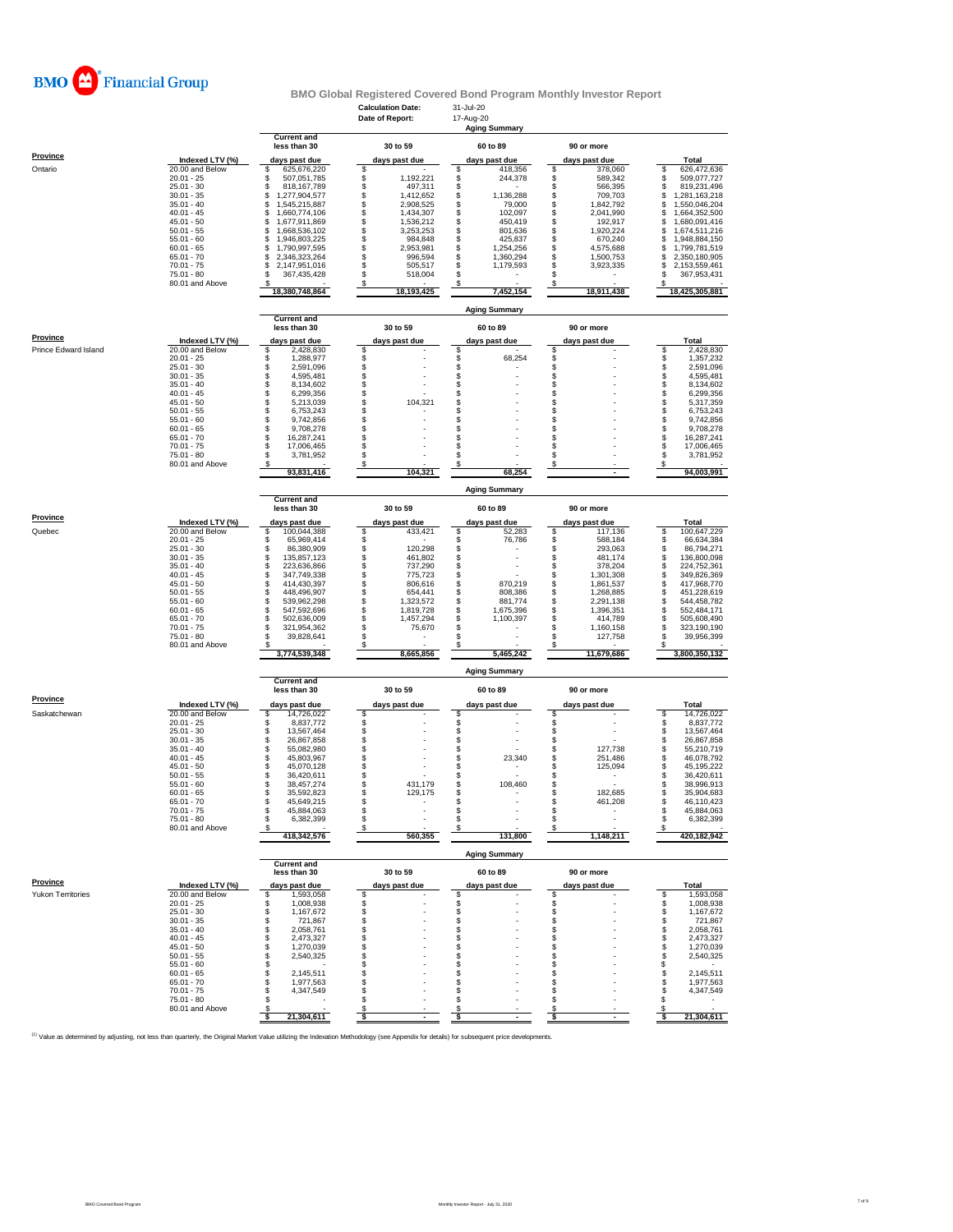

### **Calculation Date:** 31-Jul-20 **BMO Global Registered Covered Bond Program Monthly Investor Report**

|                      |                                    |                                            | Date of Report:                    | 17-Aug-20<br><b>Aging Summary</b>  |                                    |                                           |
|----------------------|------------------------------------|--------------------------------------------|------------------------------------|------------------------------------|------------------------------------|-------------------------------------------|
|                      |                                    | <b>Current and</b><br>less than 30         | 30 to 59                           | 60 to 89                           | 90 or more                         |                                           |
| Province             | Indexed LTV (%)                    |                                            |                                    |                                    |                                    |                                           |
| Ontario              | 20.00 and Below                    | days past due<br>625,676,220<br>\$         | days past due<br>\$                | days past due<br>418,356<br>\$     | days past due<br>378,060<br>s      | Total<br>\$<br>626,472,636                |
|                      | $20.01 - 25$                       | \$<br>507,051,785                          | \$<br>1,192,221                    | \$<br>244,378                      | \$<br>589,342                      | 509,077,727<br>s                          |
|                      | $25.01 - 30$<br>$30.01 - 35$       | 818, 167, 789<br>\$<br>\$<br>1,277,904,577 | \$<br>497,311<br>1,412,652         | \$<br>\$<br>1,136,288              | \$<br>566,395<br>\$<br>709,703     | s<br>819,231,496<br>S<br>1,281,163,218    |
|                      | $35.01 - 40$                       | \$<br>1,545,215,887                        | \$<br>2,908,525                    | \$<br>79,000                       | \$<br>1,842,792                    | S<br>1,550,046,204                        |
|                      | $40.01 - 45$<br>$45.01 - 50$       | \$<br>1,660,774,106<br>\$<br>1,677,911,869 | \$<br>1,434,307<br>\$<br>1,536,212 | \$<br>102,097<br>\$<br>450,419     | \$<br>2,041,990<br>\$<br>192,917   | \$<br>1,664,352,500<br>1,680,091,416<br>S |
|                      | $50.01 - 55$                       | \$<br>1,668,536,102                        | \$<br>3,253,253                    | \$<br>801,636                      | \$<br>1,920,224                    | S<br>1,674,511,216                        |
|                      | $55.01 - 60$<br>$60.01 - 65$       | 1,946,803,225<br>S<br>\$                   | \$<br>984,848<br>2,953,981         | \$<br>425,837<br>\$                | \$<br>670,240<br>\$                | 1,948,884,150<br>S<br>S                   |
|                      | $65.01 - 70$                       | 1,790,997,595<br>\$<br>2,346,323,264       | \$<br>\$<br>996,594                | 1,254,256<br>\$<br>1,360,294       | 4,575,688<br>\$<br>1,500,753       | 1,799,781,519<br>2,350,180,905<br>S       |
|                      | $70.01 - 75$                       | \$<br>2,147,951,016                        | \$<br>505,517                      | \$<br>1,179,593                    | \$<br>3,923,335                    | S<br>2,153,559,461                        |
|                      | $75.01 - 80$<br>80.01 and Above    | \$<br>367,435,428<br>\$                    | \$<br>518,004<br>\$                | \$<br>\$                           | \$<br>\$                           | 367,953,431<br>s<br>s                     |
|                      |                                    | 18,380,748,864                             | 18,193,425                         | 7,452,154                          | 18,911,438                         | 18,425,305,881                            |
|                      |                                    |                                            |                                    | <b>Aging Summary</b>               |                                    |                                           |
|                      |                                    | <b>Current and</b><br>less than 30         | 30 to 59                           | 60 to 89                           | 90 or more                         |                                           |
| <b>Province</b>      | Indexed LTV (%)                    | days past due                              | days past due                      | days past due                      | days past due                      | Total                                     |
| Prince Edward Island | 20.00 and Below<br>$20.01 - 25$    | \$<br>2,428,830<br>\$<br>1,288,977         | \$                                 | \$<br>\$<br>68,254                 | \$<br>\$                           | \$<br>2,428,830<br>\$<br>1,357,232        |
|                      | $25.01 - 30$                       | \$<br>2,591,096                            | \$\$\$\$                           | \$                                 | \$                                 | \$<br>2,591,096                           |
|                      | $30.01 - 35$                       | \$<br>4,595,481                            |                                    | \$                                 | \$                                 | \$<br>4,595,481                           |
|                      | $35.01 - 40$<br>$40.01 - 45$       | \$<br>8,134,602<br>\$<br>6,299,356         | \$                                 | \$<br>\$                           | \$<br>\$                           | \$<br>8,134,602<br>\$<br>6,299,356        |
|                      | $45.01 - 50$                       | \$<br>5,213,039                            | \$<br>104,321                      | \$                                 | \$                                 | \$<br>5,317,359                           |
|                      | $50.01 - 55$<br>$55.01 - 60$       | \$<br>6,753,243<br>\$<br>9.742.856         | \$<br>\$                           | \$<br>\$                           | \$<br>\$                           | \$<br>6,753,243<br>\$                     |
|                      | $60.01 - 65$                       | \$<br>9,708,278                            | \$                                 | \$                                 | \$                                 | 9,742,856<br>\$<br>9,708,278              |
|                      | $65.01 - 70$                       | \$<br>16,287,241                           | \$                                 | \$                                 | \$                                 | s<br>16,287,241                           |
|                      | $70.01 - 75$<br>75.01 - 80         | \$<br>17,006,465<br>3,781,952<br>\$        | \$<br>\$                           | \$<br>\$                           | S<br>\$                            | S<br>17,006,465<br>\$<br>3,781,952        |
|                      | 80.01 and Above                    | s                                          | S                                  |                                    |                                    |                                           |
|                      |                                    | 93,831,416                                 | 104,321                            | 68,254                             |                                    | 94,003,991                                |
|                      |                                    | <b>Current and</b>                         |                                    | <b>Aging Summary</b>               |                                    |                                           |
| Province             |                                    | less than 30                               | 30 to 59                           | 60 to 89                           | 90 or more                         |                                           |
| Quebec               | Indexed LTV (%)<br>20.00 and Below | days past due<br>100,044,388<br>\$         | days past due<br>\$<br>433,421     | days past due<br>52,283<br>\$      | days past due<br>117,136<br>s      | Total<br>100,647,229<br>\$                |
|                      | $20.01 - 25$                       | S<br>65,969,414                            | \$                                 | \$<br>76,786                       | \$<br>588,184                      | \$<br>66,634,384                          |
|                      | $25.01 - 30$<br>$30.01 - 35$       | 86,380,909<br>s<br>s<br>135,857,123        | \$<br>120,298<br>461,802           | \$<br>\$                           | \$<br>293,063<br>\$<br>481,174     | S<br>86,794,271<br>\$<br>136,800,098      |
|                      | $35.01 - 40$                       | \$<br>223,636,866                          | \$<br>737,290                      | \$                                 | \$<br>378,204                      | \$<br>224,752,361                         |
|                      | $40.01 - 45$                       | \$<br>347,749,338                          | \$<br>775,723                      | \$                                 | \$<br>1,301,308                    | \$<br>349,826,369                         |
|                      | $45.01 - 50$<br>$50.01 - 55$       | \$<br>414,430,397<br>448,496,907<br>\$     | \$<br>806,616<br>\$<br>654,441     | \$<br>870,219<br>\$<br>808,386     | \$<br>1,861,537<br>\$<br>1,268,885 | \$<br>417,968,770<br>S<br>451,228,619     |
|                      | $55.01 - 60$                       | \$<br>539,962,298                          | \$<br>1,323,572                    | \$<br>881,774                      | \$<br>2,291,138                    | \$<br>544,458,782                         |
|                      | $60.01 - 65$<br>$65.01 - 70$       | \$<br>547,592,696<br>\$<br>502,636,009     | \$<br>1,819,728<br>\$              | \$<br>1,675,396<br>\$<br>1,100,397 | \$<br>1,396,351<br>\$<br>414,789   | \$<br>552,484,171<br>\$<br>505,608,490    |
|                      | $70.01 - 75$                       | 321,954,362<br>\$                          | 1,457,294<br>\$<br>75,670          | \$                                 | \$<br>1,160,158                    | 323,190,190<br>s                          |
|                      | 75.01 - 80                         | \$<br>39,828,641                           | \$                                 | \$                                 | S<br>127,758                       | s<br>39,956,399                           |
|                      | 80.01 and Above                    | s<br>3,774,539,348                         | \$<br>8,665,856                    | S<br>5,465,242                     | 11,679,686                         | s<br>3,800,350,132                        |
|                      |                                    |                                            |                                    | <b>Aging Summary</b>               |                                    |                                           |
|                      |                                    | <b>Current and</b><br>less than 30         | 30 to 59                           | 60 to 89                           | 90 or more                         |                                           |
| <b>Province</b>      | Indexed LTV (%)                    | days past due                              | days past due                      | days past due                      | days past due                      | Total                                     |
| Saskatchewan         | 20.00 and Below                    | 14,726,022<br>\$                           | \$                                 | \$                                 | \$                                 | \$<br>14,726,022                          |
|                      | $20.01 - 25$<br>$25.01 - 30$       | \$<br>8,837,772<br>\$<br>13,567,464        | \$\$                               | \$<br>\$                           | \$<br>\$                           | \$<br>8,837,772<br>\$<br>13,567,464       |
|                      | $30.01 - 35$                       | \$<br>26,867,858                           |                                    | \$                                 | \$                                 | \$<br>26,867,858                          |
|                      | $35.01 - 40$<br>$40.01 - 45$       | \$<br>55,082,980<br>\$<br>45,803,967       | \$<br>\$                           | \$<br>\$<br>23,340                 | \$<br>127,738<br>\$<br>251,486     | s<br>55,210,719<br>\$<br>46,078,792       |
|                      | $45.01 - 50$                       | \$<br>45,070,128                           | \$                                 | \$                                 | \$<br>125,094                      | \$<br>45,195,222                          |
|                      | $50.01 - 55$                       | \$<br>36,420,611                           | \$                                 | \$                                 | \$<br>$\overline{\phantom{a}}$     | s<br>36,420,611                           |
|                      | $55.01 - 60$<br>$60.01 - 65$       | \$<br>38,457,274<br>\$<br>35,592,823       | \$<br>431,179<br>\$<br>129,175     | 108,460<br>\$<br>\$                | \$<br>\$<br>182,685                | s<br>38,996,913<br>s<br>35,904,683        |
|                      | $65.01 - 70$                       | \$<br>45,649,215                           | \$                                 | \$                                 | \$<br>461,208                      | 46,110,423<br>s                           |
|                      | 70.01 - 75<br>75.01 - 80           | 45,884,063<br>S<br>\$<br>6,382,399         | \$<br>\$                           | S<br>\$                            | S<br>\$                            | 45,884,063<br>S<br>\$                     |
|                      | 80.01 and Above                    |                                            | \$                                 |                                    |                                    | 6,382,399                                 |
|                      |                                    | 418,342,576                                | 560,355                            | 131,800                            | 1,148,211                          | 420,182,942                               |
|                      |                                    | <b>Current and</b>                         |                                    | <b>Aging Summary</b>               |                                    |                                           |
| Province             |                                    | less than 30                               | 30 to 59                           | 60 to 89                           | 90 or more                         |                                           |
| Yukon Territories    | Indexed LTV (%)<br>20.00 and Below | days past due<br>1,593,058<br>\$           | days past due<br>\$                | days past due<br>\$                | days past due<br>\$                | Total<br>\$<br>1,593,058                  |
|                      | $20.01 - 25$                       | 1,008,938<br>\$                            | \$                                 | \$                                 | \$                                 | 1,008,938<br>S                            |
|                      | $25.01 - 30$<br>$30.01 - 35$       | \$<br>1,167,672<br>\$<br>721,867           | \$<br>\$                           | \$<br>\$                           | \$<br>\$                           | \$<br>1,167,672<br>721,867<br>S           |
|                      | $35.01 - 40$                       | \$<br>2,058,761                            | \$                                 | \$                                 | \$                                 | 2,058,761<br>\$                           |
|                      | $40.01 - 45$                       | 2,473,327<br>\$                            | \$                                 | \$<br>\$                           | \$                                 | 2,473,327<br>S<br>S                       |
|                      | $45.01 - 50$<br>$50.01 - 55$       | \$<br>1,270,039<br>\$<br>2,540,325         | \$<br>\$                           | S                                  | \$<br>s                            | 1,270,039<br>2,540,325<br>S               |
|                      | $55.01 - 60$                       | \$                                         | \$                                 | S                                  | S                                  | \$                                        |
|                      | $60.01 - 65$<br>$65.01 - 70$       | \$<br>2,145,511<br>\$<br>1,977,563         | \$<br>\$                           | \$<br>\$                           | S<br>S                             | 2,145,511<br>\$<br>S<br>1,977,563         |
|                      | $70.01 - 75$                       | 4,347,549<br>S                             | \$                                 | S                                  | s                                  | 4,347,549<br>S                            |
|                      | 75.01 - 80                         | \$                                         | \$                                 | S                                  | s                                  | S                                         |
|                      | 80.01 and Above                    | 21,304,611<br>s                            | \$<br>\$                           | S<br>\$                            | s<br>\$<br>$\overline{a}$          | S<br>21,304,611<br>s                      |
|                      |                                    |                                            |                                    |                                    |                                    |                                           |

<sup>(1)</sup> Value as determined by adjusting, not less than quarterly, the Original Market Value utilizing the Indexation Methodology (see Appendix for details) for subsequent price developments.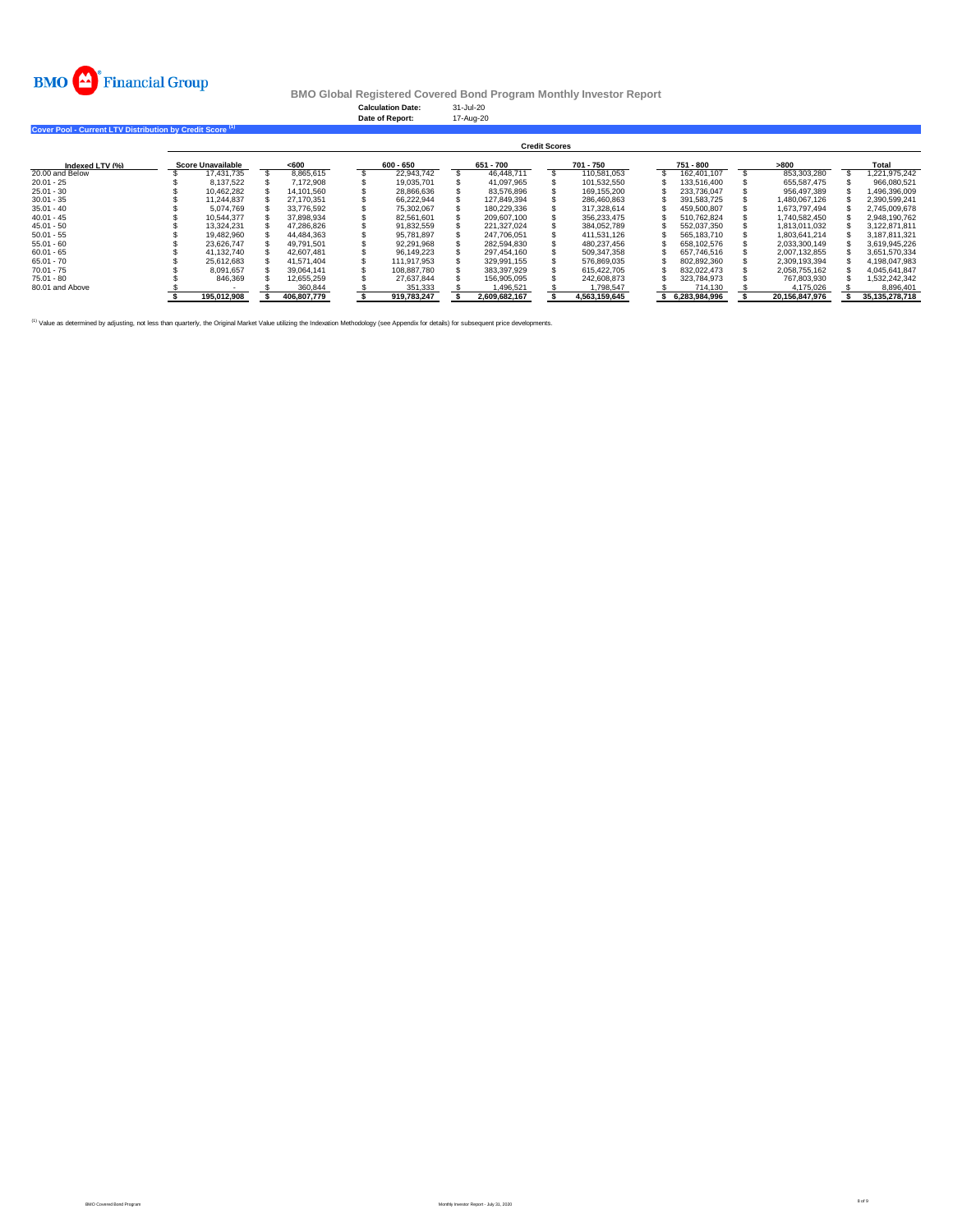

**Calculation Date:** 31-Jul-20 **Date of Report:** 17-Aug-20

**Cover Pool - Current LTV Distribution by Credit Score (1)** 

|                 | <b>Credit Scores</b> |                          |  |             |  |             |  |               |  |               |  |               |  |                |  |                |
|-----------------|----------------------|--------------------------|--|-------------|--|-------------|--|---------------|--|---------------|--|---------------|--|----------------|--|----------------|
| Indexed LTV (%) |                      | <b>Score Unavailable</b> |  | $600$       |  | 600 - 650   |  | 651 - 700     |  | 701 - 750     |  | 751 - 800     |  | >800           |  | Total          |
| 20.00 and Below |                      | 17.431.735               |  | 8.865.615   |  | 22.943.742  |  | 46.448.711    |  | 110.581.053   |  | 162.401.107   |  | 853.303.280    |  | 1.221.975.242  |
| $20.01 - 25$    |                      | 8.137.522                |  | 7.172.908   |  | 19.035.701  |  | 41.097.965    |  | 101.532.550   |  | 133.516.400   |  | 655.587.475    |  | 966.080.521    |
| $25.01 - 30$    |                      | 10.462.282               |  | 14.101.560  |  | 28,866,636  |  | 83.576.896    |  | 169.155.200   |  | 233.736.047   |  | 956.497.389    |  | 1,496,396,009  |
| $30.01 - 35$    |                      | 11.244.837               |  | 27.170.351  |  | 66.222.944  |  | 127.849.394   |  | 286.460.863   |  | 391.583.725   |  | 1.480.067.126  |  | 2.390.599.241  |
| $35.01 - 40$    |                      | 5.074.769                |  | 33.776.592  |  | 75,302,067  |  | 180.229.336   |  | 317.328.614   |  | 459.500.807   |  | 1.673.797.494  |  | 2.745.009.678  |
| $40.01 - 45$    |                      | 10.544.377               |  | 37.898.934  |  | 82.561.601  |  | 209.607.100   |  | 356.233.475   |  | 510.762.824   |  | 1.740.582.450  |  | 2.948.190.762  |
| $45.01 - 50$    |                      | 13.324.231               |  | 47.286.826  |  | 91.832.559  |  | 221.327.024   |  | 384.052.789   |  | 552.037.350   |  | 1.813.011.032  |  | 3.122.871.811  |
| $50.01 - 55$    |                      | 19.482.960               |  | 44.484.363  |  | 95.781.897  |  | 247.706.051   |  | 411.531.126   |  | 565.183.710   |  | 1.803.641.214  |  | 3.187.811.321  |
| $55.01 - 60$    |                      | 23.626.747               |  | 49.791.501  |  | 92.291.968  |  | 282.594.830   |  | 480.237.456   |  | 658.102.576   |  | 2.033.300.149  |  | 3.619.945.226  |
| $60.01 - 65$    |                      | 41.132.740               |  | 42.607.481  |  | 96.149.223  |  | 297.454.160   |  | 509.347.358   |  | 657.746.516   |  | 2.007.132.855  |  | 3.651.570.334  |
| $65.01 - 70$    |                      | 25.612.683               |  | 41.571.404  |  | 111.917.953 |  | 329.991.155   |  | 576.869.035   |  | 802.892.360   |  | 2.309.193.394  |  | 4.198.047.983  |
| $70.01 - 75$    |                      | 8.091.657                |  | 39.064.141  |  | 108.887.780 |  | 383.397.929   |  | 615.422.705   |  | 832.022.473   |  | 2.058.755.162  |  | 4.045.641.847  |
| $75.01 - 80$    |                      | 846,369                  |  | 12.655.259  |  | 27.637.844  |  | 156.905.095   |  | 242.608.873   |  | 323.784.973   |  | 767.803.930    |  | 1.532.242.342  |
| 80.01 and Above |                      |                          |  | 360.844     |  | 351.333     |  | 1.496.521     |  | 1.798.547     |  | 714.130       |  | 4.175.026      |  | 8.896.401      |
|                 |                      | 195.012.908              |  | 406.807.779 |  | 919.783.247 |  | 2.609.682.167 |  | 4.563.159.645 |  | 6.283.984.996 |  | 20.156.847.976 |  | 35,135,278,718 |

<sup>(1)</sup> Value as determined by adjusting, not less than quarterly, the Original Market Value utilizing the Indexation Methodology (see Appendix for details) for subsequent price developments.